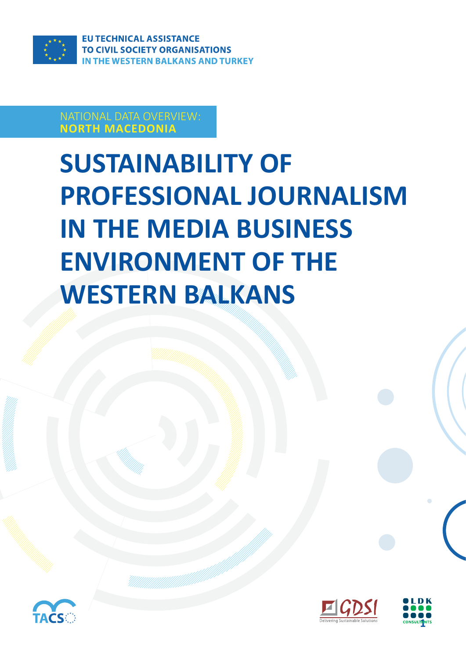

#### NATIONAL DATA OVERVIEW: **NORTH MACEDONIA**

# **SUSTAINABILITY OF PROFESSIONAL JOURNALISM IN THE MEDIA BUSINESS ENVIRONMENT OF THE WESTERN BALKANS**





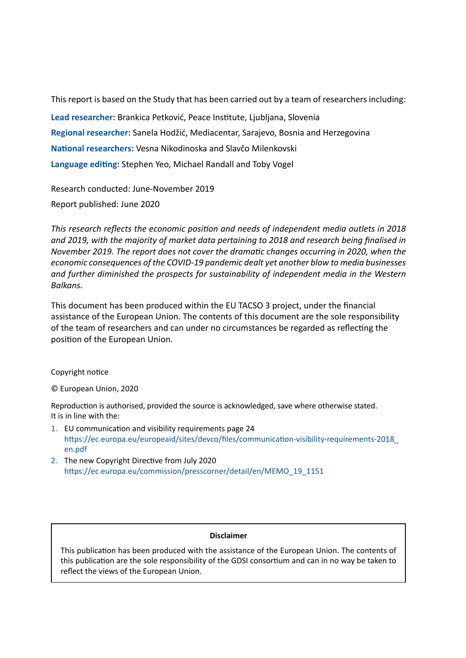This report is based on the Study that has been carried out by a team of researchers including: **Lead researcher:** Brankica Petković, Peace Institute, Ljubljana, Slovenia **Regional researcher:** Sanela Hodžić, Mediacentar, Sarajevo, Bosnia and Herzegovina **National researchers:** Vesna Nikodinoska and Slavčo Milenkovski **Language editing:** Stephen Yeo, Michael Randall and Toby Vogel

Research conducted: June-November 2019

Report published: June 2020

*This research reflects the economic position and needs of independent media outlets in 2018 and 2019, with the majority of market data pertaining to 2018 and research being finalised in November 2019. The report does not cover the dramatic changes occurring in 2020, when the economic consequences of the COVID-19 pandemic dealt yet another blow to media businesses and further diminished the prospects for sustainability of independent media in the Western Balkans.* 

This document has been produced within the EU TACSO 3 project, under the financial assistance of the European Union. The contents of this document are the sole responsibility of the team of researchers and can under no circumstances be regarded as reflecting the position of the European Union.

#### Copyright notice

© European Union, 2020

Reproduction is authorised, provided the source is acknowledged, save where otherwise stated. It is in line with the:

- 1. EU communication and visibility requirements page 24 https://ec.europa.eu/europeaid/sites/devco/files/communication-visibility-requirements-2018\_ en.pdf
- 2. The new Copyright Directive from July 2020 https://ec.europa.eu/commission/presscorner/detail/en/MEMO\_19\_1151

#### **Disclaimer**

This publication has been produced with the assistance of the European Union. The contents of this publication are the sole responsibility of the GDSI consortium and can in no way be taken to reflect the views of the European Union.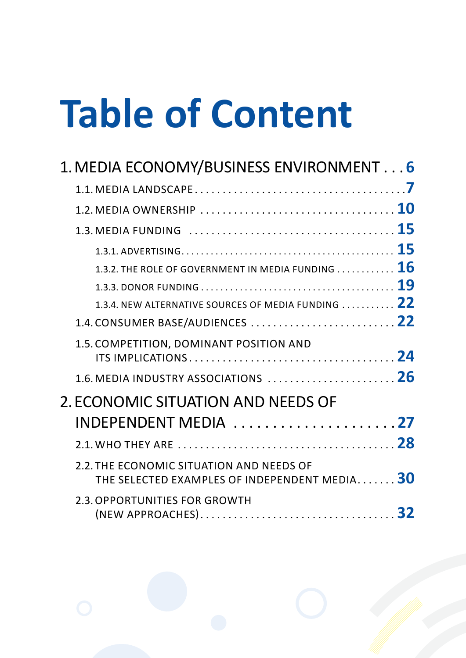# **Table of Content**

| 1. MEDIA ECONOMY/BUSINESS ENVIRONMENT6                                                                                      |  |
|-----------------------------------------------------------------------------------------------------------------------------|--|
|                                                                                                                             |  |
|                                                                                                                             |  |
| 1.3. MEDIA FUNDING $\ldots \ldots \ldots \ldots \ldots \ldots \ldots \ldots \ldots \ldots \ldots \ldots \ldots \mathbf{15}$ |  |
|                                                                                                                             |  |
| 1.3.2. THE ROLE OF GOVERNMENT IN MEDIA FUNDING $\ldots \ldots \ldots \mathbf{16}$                                           |  |
|                                                                                                                             |  |
| 1.3.4. NEW ALTERNATIVE SOURCES OF MEDIA FUNDING 22                                                                          |  |
|                                                                                                                             |  |
| 1.5. COMPETITION, DOMINANT POSITION AND                                                                                     |  |
| 1.6. MEDIA INDUSTRY ASSOCIATIONS $\ldots \ldots \ldots \ldots \ldots \ldots \ldots$                                         |  |
| 2. ECONOMIC SITUATION AND NEEDS OF                                                                                          |  |
| INDEPENDENT MEDIA 27                                                                                                        |  |
|                                                                                                                             |  |
| 2.2. THE ECONOMIC SITUATION AND NEEDS OF<br>THE SELECTED EXAMPLES OF INDEPENDENT MEDIA 30                                   |  |
| 2.3. OPPORTUNITIES FOR GROWTH                                                                                               |  |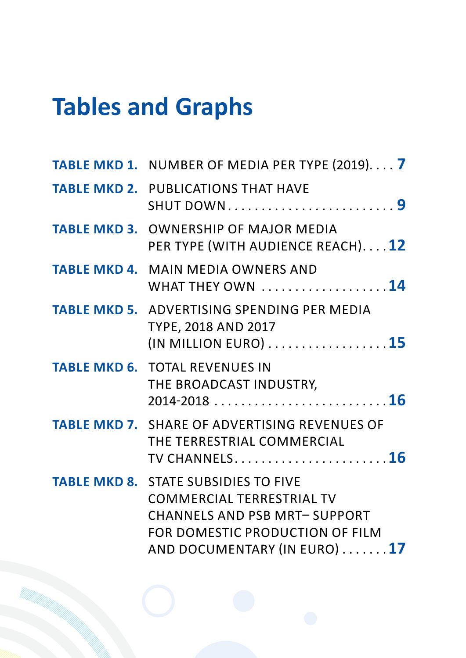# **Tables and Graphs**

| <b>TABLE MKD 1. NUMBER OF MEDIA PER TYPE (2019)7</b>                                                                                                                                      |
|-------------------------------------------------------------------------------------------------------------------------------------------------------------------------------------------|
| <b>TABLE MKD 2. PUBLICATIONS THAT HAVE</b><br><b>SHUT DOWN9</b>                                                                                                                           |
| <b>TABLE MKD 3. OWNERSHIP OF MAJOR MEDIA</b><br>PER TYPE (WITH AUDIENCE REACH)12                                                                                                          |
| <b>TABLE MKD 4. MAIN MEDIA OWNERS AND</b><br>WHAT THEY OWN 14                                                                                                                             |
| <b>TABLE MKD 5. ADVERTISING SPENDING PER MEDIA</b><br><b>TYPE, 2018 AND 2017</b><br>$(IN$ MILLION EURO) $\ldots \ldots \ldots \ldots \ldots \ldots 15$                                    |
| <b>TABLE MKD 6. TOTAL REVENUES IN</b><br>THE BROADCAST INDUSTRY,                                                                                                                          |
| <b>TABLE MKD 7. SHARE OF ADVERTISING REVENUES OF</b><br>THE TERRESTRIAL COMMERCIAL<br>TV CHANNELS16                                                                                       |
| <b>TABLE MKD 8. STATE SUBSIDIES TO FIVE</b><br><b>COMMERCIAL TERRESTRIAL TV</b><br><b>CHANNELS AND PSB MRT-SUPPORT</b><br>FOR DOMESTIC PRODUCTION OF FILM<br>AND DOCUMENTARY (IN EURO) 17 |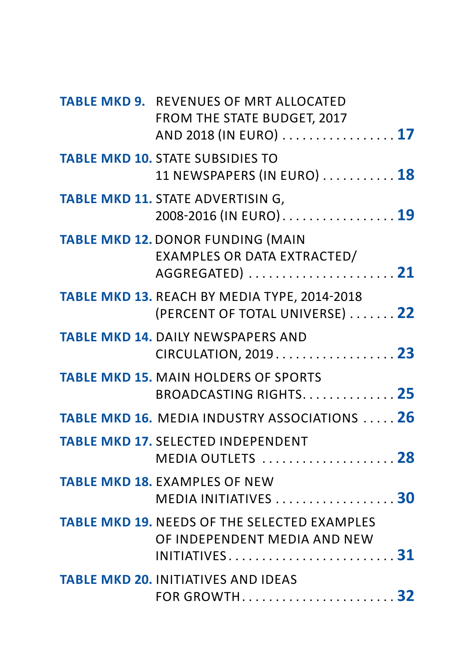| <b>TABLE MKD 9. REVENUES OF MRT ALLOCATED</b><br><b>FROM THE STATE BUDGET, 2017</b><br>AND 2018 (IN EURO)  17                                     |  |
|---------------------------------------------------------------------------------------------------------------------------------------------------|--|
| <b>TABLE MKD 10. STATE SUBSIDIES TO</b><br>11 NEWSPAPERS (IN EURO) 18                                                                             |  |
| <b>TABLE MKD 11. STATE ADVERTISING,</b><br>2008-2016 (IN EURO) 19                                                                                 |  |
| <b>TABLE MKD 12. DONOR FUNDING (MAIN</b><br>EXAMPLES OR DATA EXTRACTED/<br>AGGREGATED)  21                                                        |  |
| TABLE MKD 13. REACH BY MEDIA TYPE, 2014-2018<br>(PERCENT OF TOTAL UNIVERSE)  22                                                                   |  |
| <b>TABLE MKD 14. DAILY NEWSPAPERS AND</b><br>CIRCULATION, 2019. 23                                                                                |  |
| <b>TABLE MKD 15. MAIN HOLDERS OF SPORTS</b><br>BROADCASTING RIGHTS 25                                                                             |  |
| <b>TABLE MKD 16. MEDIA INDUSTRY ASSOCIATIONS  26</b>                                                                                              |  |
| <b>TABLE MKD 17. SELECTED INDEPENDENT</b><br>MEDIA OUTLETS  28                                                                                    |  |
| <b>TABLE MKD 18. EXAMPLES OF NEW</b><br>MEDIA INITIATIVES 30                                                                                      |  |
| <b>TABLE MKD 19. NEEDS OF THE SELECTED EXAMPLES</b><br>OF INDEPENDENT MEDIA AND NEW<br>INITIATIVES $\dots\dots\dots\dots\dots\dots\dots\dots\ 31$ |  |
| <b>TABLE MKD 20. INITIATIVES AND IDEAS</b><br>FOR GROWTH 32                                                                                       |  |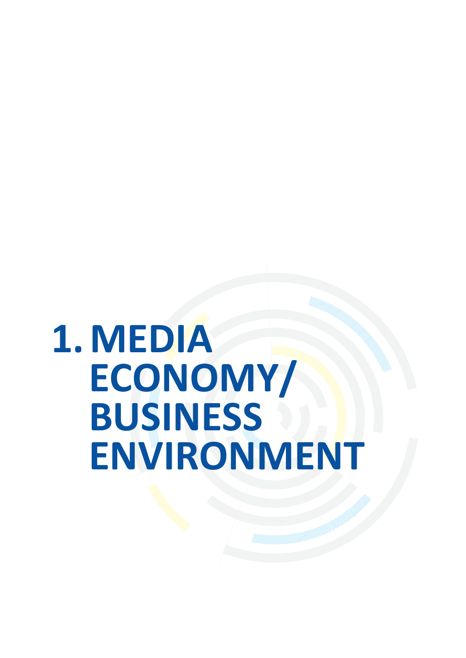# <span id="page-5-0"></span>**1. MEDIA ECONOMY/ BUSINESS ENVIRONMENT**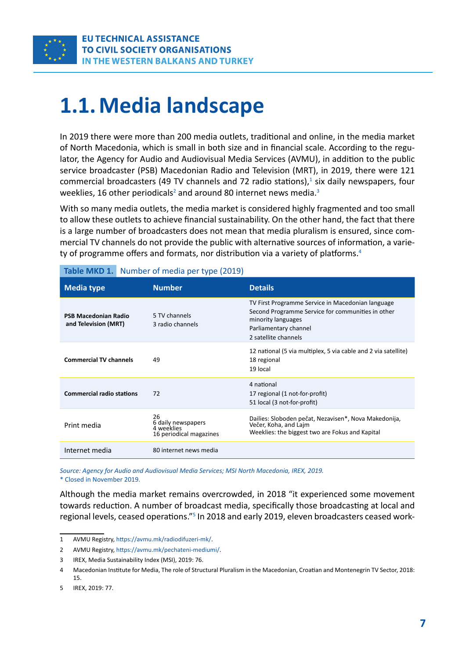<span id="page-6-0"></span>

# **1.1. Media landscape**

In 2019 there were more than 200 media outlets, traditional and online, in the media market of North Macedonia, which is small in both size and in financial scale. According to the regulator, the Agency for Audio and Audiovisual Media Services (AVMU), in addition to the public service broadcaster (PSB) Macedonian Radio and Television (MRT), in 2019, there were 121 commercial broadcasters (49 TV channels and 72 radio stations), $<sup>1</sup>$  six daily newspapers, four</sup> weeklies, 16 other periodicals<sup>2</sup> and around 80 internet news media.<sup>3</sup>

With so many media outlets, the media market is considered highly fragmented and too small to allow these outlets to achieve financial sustainability. On the other hand, the fact that there is a large number of broadcasters does not mean that media pluralism is ensured, since commercial TV channels do not provide the public with alternative sources of information, a variety of programme offers and formats, nor distribution via a variety of platforms.4

| <b>Media type</b>                                   | <b>Number</b>                                                     | <b>Details</b>                                                                                                                                                                |
|-----------------------------------------------------|-------------------------------------------------------------------|-------------------------------------------------------------------------------------------------------------------------------------------------------------------------------|
| <b>PSB Macedonian Radio</b><br>and Television (MRT) | 5 TV channels<br>3 radio channels                                 | TV First Programme Service in Macedonian language<br>Second Programme Service for communities in other<br>minority languages<br>Parliamentary channel<br>2 satellite channels |
| <b>Commercial TV channels</b>                       | 49                                                                | 12 national (5 via multiplex, 5 via cable and 2 via satellite)<br>18 regional<br>19 local                                                                                     |
| <b>Commercial radio stations</b>                    | 72                                                                | 4 national<br>17 regional (1 not-for-profit)<br>51 local (3 not-for-profit)                                                                                                   |
| Print media                                         | 26<br>6 daily newspapers<br>4 weeklies<br>16 periodical magazines | Dailies: Sloboden pečat, Nezavisen*, Nova Makedonija,<br>Večer, Koha, and Lajm<br>Weeklies: the biggest two are Fokus and Kapital                                             |
| Internet media                                      | 80 internet news media                                            |                                                                                                                                                                               |

#### **Table MKD 1.** Number of media per type (2019)

*Source: Agency for Audio and Audiovisual Media Services; MSI North Macedonia, IREX, 2019.* \* Closed in November 2019.

Although the media market remains overcrowded, in 2018 "it experienced some movement towards reduction. A number of broadcast media, specifically those broadcasting at local and regional levels, ceased operations."<sup>5</sup> In 2018 and early 2019, eleven broadcasters ceased work-

<sup>1</sup> AVMU Registry, <https://avmu.mk/radiodifuzeri-mk/>.

<sup>2</sup> AVMU Registry, <https://avmu.mk/pechateni-mediumi/>.

<sup>3</sup> IREX, Media Sustainability Index (MSI), 2019: 76.

<sup>4</sup> Macedonian Institute for Media, The role of Structural Pluralism in the Macedonian, Croatian and Montenegrin TV Sector, 2018: 15.

<sup>5</sup> IREX, 2019: 77.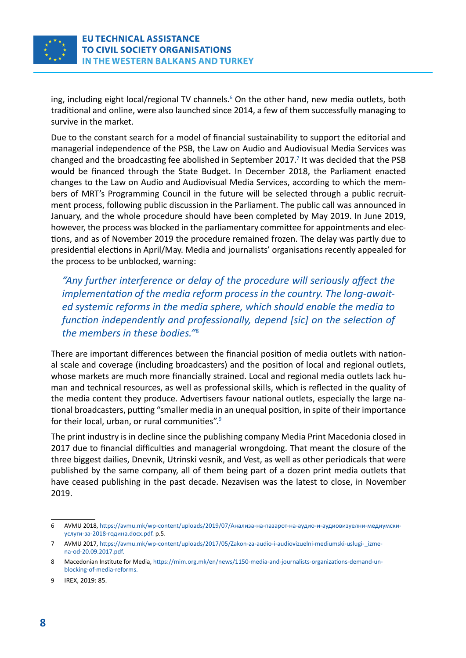

ing, including eight local/regional TV channels.<sup>6</sup> On the other hand, new media outlets, both traditional and online, were also launched since 2014, a few of them successfully managing to survive in the market.

Due to the constant search for a model of financial sustainability to support the editorial and managerial independence of the PSB, the Law on Audio and Audiovisual Media Services was changed and the broadcasting fee abolished in September 2017.<sup>7</sup> It was decided that the PSB would be financed through the State Budget. In December 2018, the Parliament enacted changes to the Law on Audio and Audiovisual Media Services, according to which the members of MRT's Programming Council in the future will be selected through a public recruitment process, following public discussion in the Parliament. The public call was announced in January, and the whole procedure should have been completed by May 2019. In June 2019, however, the process was blocked in the parliamentary committee for appointments and elections, and as of November 2019 the procedure remained frozen. The delay was partly due to presidential elections in April/May. Media and journalists' organisations recently appealed for the process to be unblocked, warning:

*"Any further interference or delay of the procedure will seriously affect the implementation of the media reform process in the country. The long-awaited systemic reforms in the media sphere, which should enable the media to function independently and professionally, depend [sic] on the selection of the members in these bodies."*<sup>8</sup>

There are important differences between the financial position of media outlets with national scale and coverage (including broadcasters) and the position of local and regional outlets, whose markets are much more financially strained. Local and regional media outlets lack human and technical resources, as well as professional skills, which is reflected in the quality of the media content they produce. Advertisers favour national outlets, especially the large national broadcasters, putting "smaller media in an unequal position, in spite of their importance for their local, urban, or rural communities".9

The print industry is in decline since the publishing company Media Print Macedonia closed in 2017 due to financial difficulties and managerial wrongdoing. That meant the closure of the three biggest dailies, Dnevnik, Utrinski vesnik, and Vest, as well as other periodicals that were published by the same company, all of them being part of a dozen print media outlets that have ceased publishing in the past decade. Nezavisen was the latest to close, in November 2019.

<sup>6</sup> [AVMU 2018,](file:///I:/!%20Vesna%20Musterii%202020/EU%20TACSO%203%20TL/ostanatite%206%20izvestai/AVMU 2018, ) [https://avmu.mk/wp-content/uploads/2019/07/Анализа-на-пазарот-на-аудио-и-аудиовизуелни-медиумски](https://avmu.mk/wp-content/uploads/2019/07/%D0%90%D0%BD%D0%B0%D0%BB%D0%B8%D0%B7%D0%B0-%D0%BD%D0%B0-%D0%BF%D0%B0%D0%B7%D0%B0%D1%80%D0%BE%D1%82-%D0%BD%D0%B0-%D0%B0%D1%83%D0%B4%D0%B8%D0%BE-%D0%B8-%D0%B0%D1%83%D0%B4%D0%B8%D0%BE%D0%B2%D0%B8%D0%B7%D1%83%D0%B5%D0%BB%D0%BD%D0%B8-%D0%BC%D0%B5%D0%B4%D0%B8%D1%83%D0%BC%D1%81%D0%BA%D0%B8-%D1%83%D1%81%D0%BB%D1%83%D0%B3%D0%B8-%D0%B7%D0%B0-2018-%D0%B3%D0%BE%D0%B4%D0%B8%D0%BD%D0%B0.docx.pdf)[услуги-за-2018-година.docx.pdf.](https://avmu.mk/wp-content/uploads/2019/07/%D0%90%D0%BD%D0%B0%D0%BB%D0%B8%D0%B7%D0%B0-%D0%BD%D0%B0-%D0%BF%D0%B0%D0%B7%D0%B0%D1%80%D0%BE%D1%82-%D0%BD%D0%B0-%D0%B0%D1%83%D0%B4%D0%B8%D0%BE-%D0%B8-%D0%B0%D1%83%D0%B4%D0%B8%D0%BE%D0%B2%D0%B8%D0%B7%D1%83%D0%B5%D0%BB%D0%BD%D0%B8-%D0%BC%D0%B5%D0%B4%D0%B8%D1%83%D0%BC%D1%81%D0%BA%D0%B8-%D1%83%D1%81%D0%BB%D1%83%D0%B3%D0%B8-%D0%B7%D0%B0-2018-%D0%B3%D0%BE%D0%B4%D0%B8%D0%BD%D0%B0.docx.pdf) p.5.

<sup>7</sup> AVMU 2017, [https://avmu.mk/wp-content/uploads/2017/05/Zakon-za-audio-i-audiovizuelni-mediumski-uslugi-\\_izme](https://avmu.mk/wp-content/uploads/2017/05/Zakon-za-audio-i-audiovizuelni-mediumski-uslugi-_izmena-od-20.09.2017.pdf)[na-od-20.09.2017.pdf.](https://avmu.mk/wp-content/uploads/2017/05/Zakon-za-audio-i-audiovizuelni-mediumski-uslugi-_izmena-od-20.09.2017.pdf)

<sup>8</sup> Macedonian Institute for Media, [https://mim.org.mk/en/news/1150-media-and-journalists-organizations-demand-un](https://mim.org.mk/en/news/1150-media-and-journalists-organizations-demand-unblocking-of-media-reforms)[blocking-of-media-reforms](https://mim.org.mk/en/news/1150-media-and-journalists-organizations-demand-unblocking-of-media-reforms).

<sup>9</sup> IREX, 2019: 85.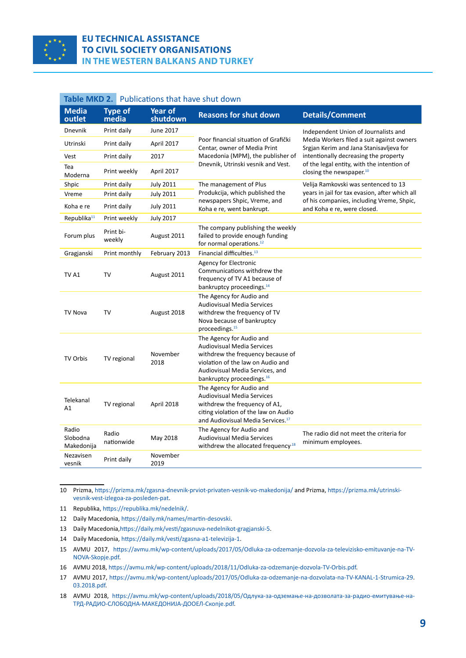<span id="page-8-0"></span>

#### **EU TECHNICAL ASSISTANCE TO CIVIL SOCIETY ORGANISATIONS** IN THE WESTERN BALKANS AND TURKEY

| Table MKD 2.<br>Publications that have shut down |                         |                            |                                                                                                                                                                                                                     |                                                                                      |
|--------------------------------------------------|-------------------------|----------------------------|---------------------------------------------------------------------------------------------------------------------------------------------------------------------------------------------------------------------|--------------------------------------------------------------------------------------|
| <b>Media</b><br>outlet                           | <b>Type of</b><br>media | <b>Year of</b><br>shutdown | <b>Reasons for shut down</b>                                                                                                                                                                                        | <b>Details/Comment</b>                                                               |
| Dnevnik                                          | Print daily             | June 2017                  |                                                                                                                                                                                                                     | Independent Union of Journalists and                                                 |
| Utrinski                                         | Print daily             | April 2017                 | Poor financial situation of Grafički<br>Centar, owner of Media Print                                                                                                                                                | Media Workers filed a suit against owners<br>Srgjan Kerim and Jana Stanisavljeva for |
| Vest                                             | Print daily             | 2017                       | Macedonia (MPM), the publisher of                                                                                                                                                                                   | intentionally decreasing the property                                                |
| Tea<br>Moderna                                   | Print weekly            | April 2017                 | Dnevnik, Utrinski vesnik and Vest.                                                                                                                                                                                  | of the legal entity, with the intention of<br>closing the newspaper. <sup>10</sup>   |
| Shpic                                            | Print daily             | <b>July 2011</b>           | The management of Plus                                                                                                                                                                                              | Velija Ramkovski was sentenced to 13                                                 |
| Vreme                                            | Print daily             | <b>July 2011</b>           | Produkcija, which published the                                                                                                                                                                                     | years in jail for tax evasion, after which all                                       |
| Koha e re                                        | Print daily             | <b>July 2011</b>           | newspapers Shpic, Vreme, and<br>Koha e re, went bankrupt.                                                                                                                                                           | of his companies, including Vreme, Shpic,<br>and Koha e re, were closed.             |
| Republika <sup>11</sup>                          | Print weekly            | <b>July 2017</b>           |                                                                                                                                                                                                                     |                                                                                      |
| Forum plus                                       | Print bi-<br>weekly     | August 2011                | The company publishing the weekly<br>failed to provide enough funding<br>for normal operations. <sup>12</sup>                                                                                                       |                                                                                      |
| Gragjanski                                       | Print monthly           | February 2013              | Financial difficulties. <sup>13</sup>                                                                                                                                                                               |                                                                                      |
| TV A1                                            | TV                      | August 2011                | Agency for Electronic<br>Communications withdrew the<br>frequency of TV A1 because of<br>bankruptcy proceedings. <sup>14</sup>                                                                                      |                                                                                      |
| <b>TV Nova</b>                                   | TV                      | August 2018                | The Agency for Audio and<br><b>Audiovisual Media Services</b><br>withdrew the frequency of TV<br>Nova because of bankruptcy<br>proceedings. <sup>15</sup>                                                           |                                                                                      |
| <b>TV Orbis</b>                                  | TV regional             | November<br>2018           | The Agency for Audio and<br><b>Audiovisual Media Services</b><br>withdrew the frequency because of<br>violation of the law on Audio and<br>Audiovisual Media Services, and<br>bankruptcy proceedings. <sup>16</sup> |                                                                                      |
| Telekanal<br>A1                                  | TV regional             | April 2018                 | The Agency for Audio and<br><b>Audiovisual Media Services</b><br>withdrew the frequency of A1,<br>citing violation of the law on Audio<br>and Audiovisual Media Services. <sup>17</sup>                             |                                                                                      |
| Radio<br>Slobodna<br>Makedonija                  | Radio<br>nationwide     | May 2018                   | The Agency for Audio and<br><b>Audiovisual Media Services</b><br>withdrew the allocated frequency <sup>18</sup>                                                                                                     | The radio did not meet the criteria for<br>minimum employees.                        |
| Nezavisen<br>vesnik                              | Print daily             | November<br>2019           |                                                                                                                                                                                                                     |                                                                                      |

10 Prizma,<https://prizma.mk/zgasna-dnevnik-prviot-privaten-vesnik-vo-makedonija/> and Prizma, [https://prizma.mk/utrinski](https://prizma.mk/utrinski-vesnik-vest-izlegoa-za-posleden-pat/)[vesnik-vest-izlegoa-za-posleden-pat](https://prizma.mk/utrinski-vesnik-vest-izlegoa-za-posleden-pat/).

11 [Republika, https://republika.mk/nedelnik/](https://republika.mk/nedelnik/).

- 12 [Daily Macedonia, https://daily.mk/names/martin-desovski](https://daily.mk/names/martin-desovski).
- 13 [Daily Macedonia,](https://daily.mk/names/martin-desovski)<https://daily.mk/vesti/zgasnuva-nedelnikot-gragjanski-5>.

14 [Daily Macedonia,](https://daily.mk/names/martin-desovski)<https://daily.mk/vesti/zgasna-a1-televizija-1>.

15 [AVMU 2017, https://avmu.mk/wp-content/uploads/2017/05/Odluka-za-odzemanje-dozvola-za-televizisko-emituvanje-na-TV-](https://avmu.mk/wp-content/uploads/2017/05/Odluka-za-odzemanje-dozvola-za-televizisko-emituvanje-na-TV-NOVA-Skopje.pdf)[NOVA-Skopje.pdf](https://avmu.mk/wp-content/uploads/2017/05/Odluka-za-odzemanje-dozvola-za-televizisko-emituvanje-na-TV-NOVA-Skopje.pdf).

16 [AVMU 2018, https://avmu.mk/wp-content/uploads/2018/11/Odluka-za-odzemanje-dozvola-TV-Orbis.pdf](https://avmu.mk/wp-content/uploads/2018/11/Odluka-za-odzemanje-dozvola-TV-Orbis.pdf).

17 AVMU 2017, [https://avmu.mk/wp-content/uploads/2017/05/Odluka-za-odzemanje-na-dozvolata-na-TV-KANAL-1-Strumica-29](https://avmu.mk/wp-content/uploads/2017/05/Odluka-za-odzemanje-na-dozvolata-na-TV-KANAL-1-Strumica-29.03.2018.pdf). [03.2018.pdf](https://avmu.mk/wp-content/uploads/2017/05/Odluka-za-odzemanje-na-dozvolata-na-TV-KANAL-1-Strumica-29.03.2018.pdf).

18 [AVMU 2018, https://avmu.mk/wp-content/uploads/2018/05/Одлука-за-одземање-на-дозволата-за-радио-емитување-на-](https://avmu.mk/wp-content/uploads/2018/05/%D0%9E%D0%B4%D0%BB%D1%83%D0%BA%D0%B0-%D0%B7%D0%B0-%D0%BE%D0%B4%D0%B7%D0%B5%D0%BC%D0%B0%D1%9A%D0%B5-%D0%BD%D0%B0-%D0%B4%D0%BE%D0%B7%D0%B2%D0%BE%D0%BB%D0%B0%D1%82%D0%B0-%D0%B7%D0%B0-%D1%80%D0%B0%D0%B4%D0%B8%D0%BE-%D0%B5%D0%BC%D0%B8%D1%82%D1%83%D0%B2%D0%B0%D1%9A%D0%B5-%D0%BD%D0%B0-%D0%A2%D0%A0%D0%94-%D0%A0%D0%90%D0%94%D0%98%D0%9E-%D0%A1%D0%9B%D0%9E%D0%91%D0%9E%D0%94%D0%9D%D0%90-%D0%9C%D0%90%D0%9A%D0%95%D0%94%D0%9E%D0%9D%D0%98%D0%88%D0%90-%D0%94%D0%9E%D0%9E%D0%95%D0%9B-%D0%A1%D0%BA%D0%BE%D0%BF%D1%98%D0%B5.pdf)[ТРД-РАДИО-СЛОБОДНА-МАКЕДОНИЈА-ДООЕЛ-Скопје.pdf](https://avmu.mk/wp-content/uploads/2018/05/%D0%9E%D0%B4%D0%BB%D1%83%D0%BA%D0%B0-%D0%B7%D0%B0-%D0%BE%D0%B4%D0%B7%D0%B5%D0%BC%D0%B0%D1%9A%D0%B5-%D0%BD%D0%B0-%D0%B4%D0%BE%D0%B7%D0%B2%D0%BE%D0%BB%D0%B0%D1%82%D0%B0-%D0%B7%D0%B0-%D1%80%D0%B0%D0%B4%D0%B8%D0%BE-%D0%B5%D0%BC%D0%B8%D1%82%D1%83%D0%B2%D0%B0%D1%9A%D0%B5-%D0%BD%D0%B0-%D0%A2%D0%A0%D0%94-%D0%A0%D0%90%D0%94%D0%98%D0%9E-%D0%A1%D0%9B%D0%9E%D0%91%D0%9E%D0%94%D0%9D%D0%90-%D0%9C%D0%90%D0%9A%D0%95%D0%94%D0%9E%D0%9D%D0%98%D0%88%D0%90-%D0%94%D0%9E%D0%9E%D0%95%D0%9B-%D0%A1%D0%BA%D0%BE%D0%BF%D1%98%D0%B5.pdf).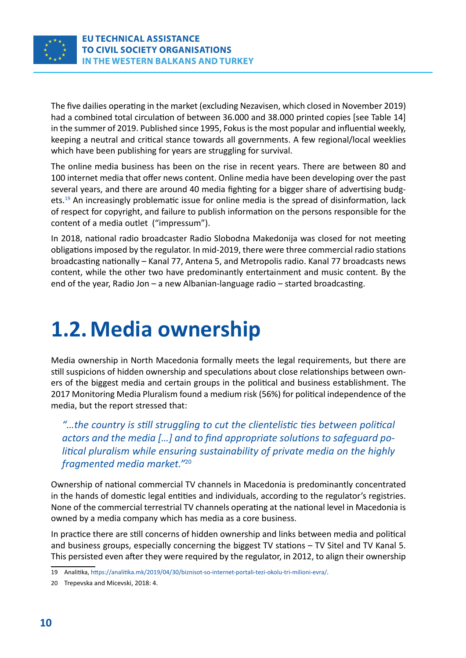<span id="page-9-0"></span>

The five dailies operating in the market (excluding Nezavisen, which closed in November 2019) had a combined total circulation of between 36.000 and 38.000 printed copies [see Table 14] in the summer of 2019. Published since 1995, Fokus is the most popular and influential weekly, keeping a neutral and critical stance towards all governments. A few regional/local weeklies which have been publishing for years are struggling for survival.

The online media business has been on the rise in recent years. There are between 80 and 100 internet media that offer news content. Online media have been developing over the past several years, and there are around 40 media fighting for a bigger share of advertising budgets.<sup>19</sup> An increasingly problematic issue for online media is the spread of disinformation, lack of respect for copyright, and failure to publish information on the persons responsible for the content of a media outlet ("impressum").

In 2018, national radio broadcaster Radio Slobodna Makedonija was closed for not meeting obligations imposed by the regulator. In mid-2019, there were three commercial radio stations broadcasting nationally – Kanal 77, Antena 5, and Metropolis radio. Kanal 77 broadcasts news content, while the other two have predominantly entertainment and music content. By the end of the year, Radio Jon – a new Albanian-language radio – started broadcasting.

# **1.2. Media ownership**

Media ownership in North Macedonia formally meets the legal requirements, but there are still suspicions of hidden ownership and speculations about close relationships between owners of the biggest media and certain groups in the political and business establishment. The 2017 Monitoring Media Pluralism found a medium risk (56%) for political independence of the media, but the report stressed that:

*"…the country is still struggling to cut the clientelistic ties between political actors and the media […] and to find appropriate solutions to safeguard political pluralism while ensuring sustainability of private media on the highly fragmented media market."*<sup>20</sup>

Ownership of national commercial TV channels in Macedonia is predominantly concentrated in the hands of domestic legal entities and individuals, according to the regulator's registries. None of the commercial terrestrial TV channels operating at the national level in Macedonia is owned by a media company which has media as a core business.

In practice there are still concerns of hidden ownership and links between media and political and business groups, especially concerning the biggest TV stations – TV Sitel and TV Kanal 5. This persisted even after they were required by the regulator, in 2012, to align their ownership

<sup>19</sup> Analitika,<https://analitika.mk/2019/04/30/biznisot-so-internet-portali-tezi-okolu-tri-milioni-evra/>.

<sup>20</sup> Trepevska and Micevski, 2018: 4.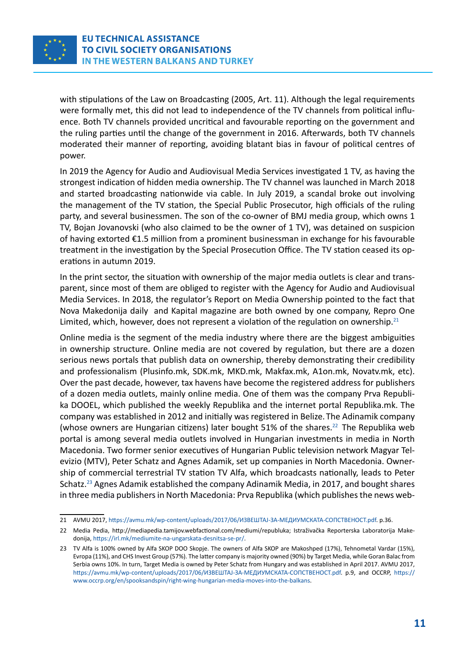

with stipulations of the Law on Broadcasting (2005, Art. 11). Although the legal requirements were formally met, this did not lead to independence of the TV channels from political influence. Both TV channels provided uncritical and favourable reporting on the government and the ruling parties until the change of the government in 2016. Afterwards, both TV channels moderated their manner of reporting, avoiding blatant bias in favour of political centres of power.

In 2019 the Agency for Audio and Audiovisual Media Services investigated 1 TV, as having the strongest indication of hidden media ownership. The TV channel was launched in March 2018 and started broadcasting nationwide via cable. In July 2019, a scandal broke out involving the management of the TV station, the Special Public Prosecutor, high officials of the ruling party, and several businessmen. The son of the co-owner of BMJ media group, which owns 1 TV, Bojan Jovanovski (who also claimed to be the owner of 1 TV), was detained on suspicion of having extorted €1.5 million from a prominent businessman in exchange for his favourable treatment in the investigation by the Special Prosecution Office. The TV station ceased its operations in autumn 2019.

In the print sector, the situation with ownership of the major media outlets is clear and transparent, since most of them are obliged to register with the Agency for Audio and Audiovisual Media Services. In 2018, the regulator's Report on Media Ownership pointed to the fact that Nova Makedonija daily and Kapital magazine are both owned by one company, Repro One Limited, which, however, does not represent a violation of the regulation on ownership. $21$ 

Online media is the segment of the media industry where there are the biggest ambiguities in ownership structure. Online media are not covered by regulation, but there are a dozen serious news portals that publish data on ownership, thereby demonstrating their credibility and professionalism (Plusinfo.mk, SDK.mk, MKD.mk, Makfax.mk, A1on.mk, Novatv.mk, etc). Over the past decade, however, tax havens have become the registered address for publishers of a dozen media outlets, mainly online media. One of them was the company Prva Republika DOOEL, which published the weekly Republika and the internet portal Republika.mk. The company was established in 2012 and initially was registered in Belize.The Adinamik company (whose owners are Hungarian citizens) later bought  $51\%$  of the shares.<sup>22</sup> The Republika web portal is among several media outlets involved in Hungarian investments in media in North Macedonia. Two former senior executives of Hungarian Public television network Magyar Televizio (MTV), Peter Schatz and Agnes Adamik, set up companies in North Macedonia. Ownership of commercial terrestrial TV station TV Alfa, which broadcasts nationally, leads to Peter Schatz.23 Agnes Adamik established the company Adinamik Media, in 2017, and bought shares in three media publishers in North Macedonia: Prva Republika (which publishes the news web-

<sup>21</sup> AVMU 2017, [https://avmu.mk/wp-content/uploads/2017/06/ИЗВЕШТАЈ-ЗА-МЕДИУМСКАТА-СОПСТВЕНОСТ.pdf.](https://avmu.mk/wp-content/uploads/2017/06/%D0%98%D0%97%D0%92%D0%95%D0%A8%D0%A2%D0%90%D0%88-%D0%97%D0%90-%D0%9C%D0%95%D0%94%D0%98%D0%A3%D0%9C%D0%A1%D0%9A%D0%90%D0%A2%D0%90-%D0%A1%D0%9E%D0%9F%D0%A1%D0%A2%D0%92%D0%95%D0%9D%D0%9E%D0%A1%D0%A2.pdf) p.36.

<sup>22</sup> Media Pedia, [http://mediapedia.tamijov.webfactional.com/mediumi/republuka;](http://mediapedia.tamijov.webfactional.com/mediumi/republuka) Istraživačka Reporterska Laboratorija Makedonija,<https://irl.mk/mediumite-na-ungarskata-desnitsa-se-pr/>.

<sup>23</sup> TV Alfa is 100% owned by Alfa SKOP DOO Skopje. The owners of Alfa SKOP are Makoshped (17%), Tehnometal Vardar (15%), Evropa (11%), and CHS Invest Group (57%). The latter company is majority owned (90%) by Target Media, while Goran Balac from Serbia owns 10%. In turn, Target Media is owned by Peter Schatz from Hungary and was established in April 2017. AVMU 2017, [https://avmu.mk/wp-content/uploads/2017/06/ИЗВЕШТАЈ-ЗА-МЕДИУМСКАТА-СОПСТВЕНОСТ.pdf](https://avmu.mk/wp-content/uploads/2017/06/%D0%98%D0%97%D0%92%D0%95%D0%A8%D0%A2%D0%90%D0%88-%D0%97%D0%90-%D0%9C%D0%95%D0%94%D0%98%D0%A3%D0%9C%D0%A1%D0%9A%D0%90%D0%A2%D0%90-%D0%A1%D0%9E%D0%9F%D0%A1%D0%A2%D0%92%D0%95%D0%9D%D0%9E%D0%A1%D0%A2.pdf). p.9, and OCCRP, [https://](https://www.occrp.org/en/spooksandspin/right-wing-hungarian-media-moves-into-the-balkans) [www.occrp.org/en/spooksandspin/right-wing-hungarian-media-moves-into-the-balkans](https://www.occrp.org/en/spooksandspin/right-wing-hungarian-media-moves-into-the-balkans).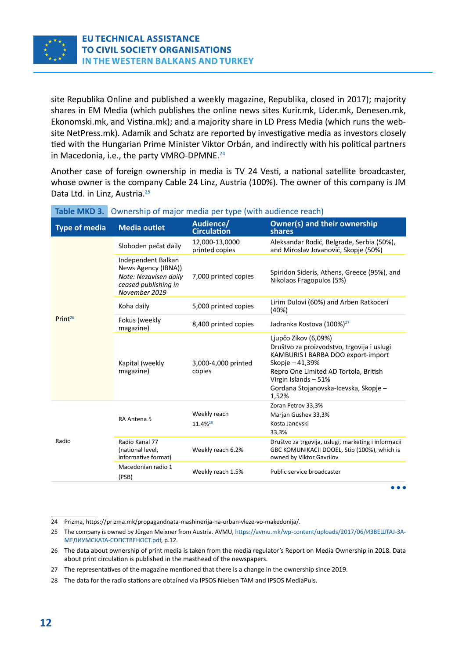<span id="page-11-0"></span>

site Republika Online and published a weekly magazine, Republika, closed in 2017); majority shares in EM Media (which publishes the online news sites Kurir.mk, Lider.mk, Denesen.mk, Ekonomski.mk, and Vistina.mk); and a majority share in LD Press Media (which runs the website NetPress.mk). Adamik and Schatz are reported by investigative media as investors closely tied with the Hungarian Prime Minister Viktor Orbán, and indirectly with his political partners in Macedonia, i.e., the party VMRO-DPMNE.<sup>24</sup>

Another case of foreign ownership in media is TV 24 Vesti, a national satellite broadcaster, whose owner is the company Cable 24 Linz, Austria (100%). The owner of this company is JM Data Ltd. in Linz, Austria.<sup>25</sup>

| <b>Type of media</b> | <b>Media outlet</b>                                                                                         | Audience/<br><b>Circulation</b>     | <b>Owner(s) and their ownership</b><br>shares                                                                                                                                                                                                  |
|----------------------|-------------------------------------------------------------------------------------------------------------|-------------------------------------|------------------------------------------------------------------------------------------------------------------------------------------------------------------------------------------------------------------------------------------------|
|                      | Sloboden pečat daily                                                                                        | 12,000-13,0000<br>printed copies    | Aleksandar Rodić, Belgrade, Serbia (50%),<br>and Miroslav Jovanović, Skopje (50%)                                                                                                                                                              |
|                      | Independent Balkan<br>News Agency (IBNA))<br>Note: Nezavisen daily<br>ceased publishing in<br>November 2019 | 7,000 printed copies                | Spiridon Sideris, Athens, Greece (95%), and<br>Nikolaos Fragopulos (5%)                                                                                                                                                                        |
|                      | Koha daily                                                                                                  | 5,000 printed copies                | Lirim Dulovi (60%) and Arben Ratkoceri<br>(40%)                                                                                                                                                                                                |
| Print <sup>26</sup>  | Fokus (weekly<br>magazine)                                                                                  | 8,400 printed copies                | Jadranka Kostova (100%) <sup>27</sup>                                                                                                                                                                                                          |
|                      | Kapital (weekly<br>magazine)                                                                                | 3,000-4,000 printed<br>copies       | Ljupčo Zikov (6,09%)<br>Društvo za proizvodstvo, trgovija i uslugi<br>KAMBURIS I BARBA DOO export-import<br>Skopje - 41,39%<br>Repro One Limited AD Tortola, British<br>Virgin Islands - 51%<br>Gordana Stojanovska-Icevska, Skopje -<br>1,52% |
|                      | RA Antena 5                                                                                                 | Weekly reach<br>11.4% <sup>28</sup> | Zoran Petrov 33,3%<br>Marjan Gushev 33,3%<br>Kosta Janevski<br>33,3%                                                                                                                                                                           |
| Radio                | Radio Kanal 77<br>(national level,<br>informative format)                                                   | Weekly reach 6.2%                   | Društvo za trgovija, uslugi, marketing i informacii<br>GBC KOMUNIKACII DOOEL, Stip (100%), which is<br>owned by Viktor Gavrilov                                                                                                                |
|                      | Macedonian radio 1<br>(PSB)                                                                                 | Weekly reach 1.5%                   | Public service broadcaster                                                                                                                                                                                                                     |
|                      |                                                                                                             |                                     |                                                                                                                                                                                                                                                |

#### **Table MKD 3.** Ownership of major media per type (with audience reach)

<sup>24</sup> [Prizma, h](https://prizma.mk/propagandnata-mashinerija-na-orban-vleze-vo-makedonija/)ttps://prizma.mk/propagandnata-mashinerija-na-orban-vleze-vo-makedonija/.

<sup>25</sup> The company is owned by Jürgen Meixner from Austria. AVMU, [https://avmu.mk/wp-content/uploads/2017/06/ИЗВЕШТАЈ-ЗА-](https://avmu.mk/wp-content/uploads/2017/06/%D0%98%D0%97%D0%92%D0%95%D0%A8%D0%A2%D0%90%D0%88-%D0%97%D0%90-%D0%9C%D0%95%D0%94%D0%98%D0%A3%D0%9C%D0%A1%D0%9A%D0%90%D0%A2%D0%90-%D0%A1%D0%9E%D0%9F%D0%A1%D0%A2%D0%92%D0%95%D0%9D%D0%9E%D0%A1%D0%A2.pdf)[МЕДИУМСКАТА-СОПСТВЕНОСТ.pdf,](https://avmu.mk/wp-content/uploads/2017/06/%D0%98%D0%97%D0%92%D0%95%D0%A8%D0%A2%D0%90%D0%88-%D0%97%D0%90-%D0%9C%D0%95%D0%94%D0%98%D0%A3%D0%9C%D0%A1%D0%9A%D0%90%D0%A2%D0%90-%D0%A1%D0%9E%D0%9F%D0%A1%D0%A2%D0%92%D0%95%D0%9D%D0%9E%D0%A1%D0%A2.pdf) p.12.

<sup>26</sup> The data about ownership of print media is taken from the media regulator's Report on Media Ownership in 2018. Data about print circulation is published in the masthead of the newspapers.

<sup>27</sup> The representatives of the magazine mentioned that there is a change in the ownership since 2019.

<sup>28</sup> The data for the radio stations are obtained via IPSOS Nielsen TAM and IPSOS MediaPuls.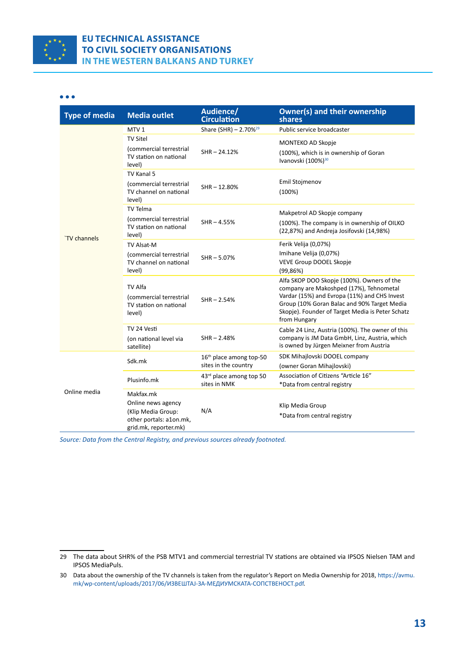

#### $\bullet\bullet\bullet$

| <b>Type of media</b> | <b>Media outlet</b>                                                                                       | Audience/<br><b>Circulation</b>                             | <b>Owner(s) and their ownership</b><br>shares                                                                                                                                                                                                            |
|----------------------|-----------------------------------------------------------------------------------------------------------|-------------------------------------------------------------|----------------------------------------------------------------------------------------------------------------------------------------------------------------------------------------------------------------------------------------------------------|
|                      | MTV <sub>1</sub>                                                                                          | Share (SHR) $- 2.70\%^{29}$                                 | Public service broadcaster                                                                                                                                                                                                                               |
| `TV channels         | <b>TV Sitel</b><br>(commercial terrestrial<br>TV station on national                                      | $SHR - 24.12%$                                              | MONTEKO AD Skopje<br>(100%), which is in ownership of Goran<br>Ivanovski (100%) <sup>30</sup>                                                                                                                                                            |
|                      | level)<br>TV Kanal 5<br>(commercial terrestrial<br>TV channel on national<br>level)                       | $SHR - 12.80%$                                              | Emil Stojmenov<br>(100%)                                                                                                                                                                                                                                 |
|                      | <b>TV Telma</b><br>(commercial terrestrial<br>TV station on national<br>level)                            | $SHR - 4.55%$                                               | Makpetrol AD Skopje company<br>(100%). The company is in ownership of OILKO<br>(22,87%) and Andreja Josifovski (14,98%)                                                                                                                                  |
|                      | <b>TV Alsat-M</b><br>(commercial terrestrial<br>TV channel on national<br>level)                          | $SHR - 5.07%$                                               | Ferik Velija (0,07%)<br>Imihane Velija (0,07%)<br>VEVE Group DOOEL Skopje<br>(99, 86%)                                                                                                                                                                   |
|                      | TV Alfa<br>(commercial terrestrial<br>TV station on national<br>level)                                    | $SHR - 2.54%$                                               | Alfa SKOP DOO Skopje (100%). Owners of the<br>company are Makoshped (17%), Tehnometal<br>Vardar (15%) and Evropa (11%) and CHS Invest<br>Group (10% Goran Balac and 90% Target Media<br>Skopje). Founder of Target Media is Peter Schatz<br>from Hungary |
|                      | TV 24 Vesti<br>(on national level via<br>satellite)                                                       | $SHR - 2.48%$                                               | Cable 24 Linz, Austria (100%). The owner of this<br>company is JM Data GmbH, Linz, Austria, which<br>is owned by Jürgen Meixner from Austria                                                                                                             |
| Online media         | Sdk.mk                                                                                                    | 16 <sup>th</sup> place among top-50<br>sites in the country | SDK Mihajlovski DOOEL company<br>(owner Goran Mihajlovski)                                                                                                                                                                                               |
|                      | Plusinfo.mk                                                                                               | 43rd place among top 50<br>sites in NMK                     | Association of Citizens "Article 16"<br>*Data from central registry                                                                                                                                                                                      |
|                      | Makfax.mk<br>Online news agency<br>(Klip Media Group:<br>other portals: a1on.mk,<br>grid.mk, reporter.mk) | N/A                                                         | Klip Media Group<br>*Data from central registry                                                                                                                                                                                                          |

*Source: Data from the Central Registry, and previous sources already footnoted.*

<sup>29</sup> The data about SHR% of the PSB MTV1 and commercial terrestrial TV stations are obtained via IPSOS Nielsen TAM and IPSOS MediaPuls.

<sup>30</sup> Data about the ownership of the TV channels is taken from the regulator's Report on Media Ownership for 2018, [https://avmu.](https://avmu.mk/wp-content/uploads/2017/06/%D0%98%D0%97%D0%92%D0%95%D0%A8%D0%A2%D0%90%D0%88-%D0%97%D0%90-%D0%9C%D0%95%D0%94%D0%98%D0%A3%D0%9C%D0%A1%D0%9A%D0%90%D0%A2%D0%90-%D0%A1%D0%9E%D0%9F%D0%A1%D0%A2%D0%92%D0%95%D0%9D%D0%9E%D0%A1%D0%A2.pdf) [mk/wp-content/uploads/2017/06/ИЗВЕШТАЈ-ЗА-МЕДИУМСКАТА-СОПСТВЕНОСТ.pdf](https://avmu.mk/wp-content/uploads/2017/06/%D0%98%D0%97%D0%92%D0%95%D0%A8%D0%A2%D0%90%D0%88-%D0%97%D0%90-%D0%9C%D0%95%D0%94%D0%98%D0%A3%D0%9C%D0%A1%D0%9A%D0%90%D0%A2%D0%90-%D0%A1%D0%9E%D0%9F%D0%A1%D0%A2%D0%92%D0%95%D0%9D%D0%9E%D0%A1%D0%A2.pdf).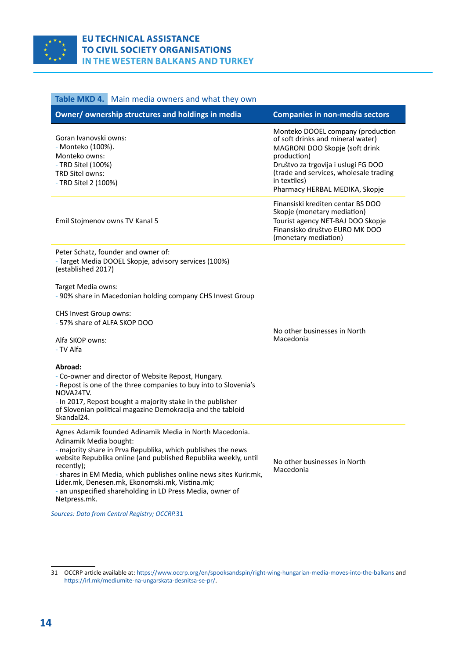<span id="page-13-0"></span>

#### **Table MKD 4.** Main media owners and what they own

| Owner/ownership structures and holdings in media                                                                             | <b>Companies in non-media sectors</b>                                                                                                                                                                                                                      |
|------------------------------------------------------------------------------------------------------------------------------|------------------------------------------------------------------------------------------------------------------------------------------------------------------------------------------------------------------------------------------------------------|
| Goran Ivanovski owns:<br>- Monteko (100%).<br>Monteko owns:<br>- TRD Sitel (100%)<br>TRD Sitel owns:<br>- TRD Sitel 2 (100%) | Monteko DOOEL company (production<br>of soft drinks and mineral water)<br>MAGRONI DOO Skopje (soft drink<br>production)<br>Društvo za trgovija i uslugi FG DOO<br>(trade and services, wholesale trading<br>in textiles)<br>Pharmacy HERBAL MEDIKA, Skopje |
| Emil Stojmenov owns TV Kanal 5                                                                                               | Finansiski krediten centar BS DOO<br>Skopje (monetary mediation)<br>Tourist agency NET-BAJ DOO Skopje<br>Finansisko društvo EURO MK DOO<br>(monetary mediation)                                                                                            |
| Peter Schatz, founder and owner of:                                                                                          |                                                                                                                                                                                                                                                            |

- Target Media DOOEL Skopje, advisory services (100%) (established 2017)

Target Media owns:

- 90% share in Macedonian holding company CHS Invest Group

CHS Invest Group owns: - 57% share of ALFA SKOP DOO

> No other businesses in North Macedonia

Alfa SKOP owns:

- TV Alfa

#### **Abroad:**

- Co-owner and director of Website Repost, Hungary.
- Repost is one of the three companies to buy into to Slovenia's NOVA24TV.

- In 2017, Repost bought a majority stake in the publisher of Slovenian political magazine Demokracija and the tabloid Skandal24.

Agnes Adamik founded Adinamik Media in North Macedonia. Adinamik Media bought:

- majority share in Prva Republika, which publishes the news website Republika online (and published Republika weekly, until recently);

- shares in EM Media, which publishes online news sites Kurir.mk, Lider.mk, Denesen.mk, Ekonomski.mk, Vistina.mk; - an unspecified shareholding in LD Press Media, owner of

Netpress.mk.

No other businesses in North Macedonia

*Sources: Data from Central Registry; OCCRP.*31

<sup>31</sup> OCCRP article available at: [https://www.occrp.org/en/spooksandspin/right-wing-hungarian-media-moves-into-the-balkans](https://www.occrp.org/en/spooksandspin/right-wing-hungarian-media-moves-into-the-     balkans) and <https://irl.mk/mediumite-na-ungarskata-desnitsa-se-pr/>.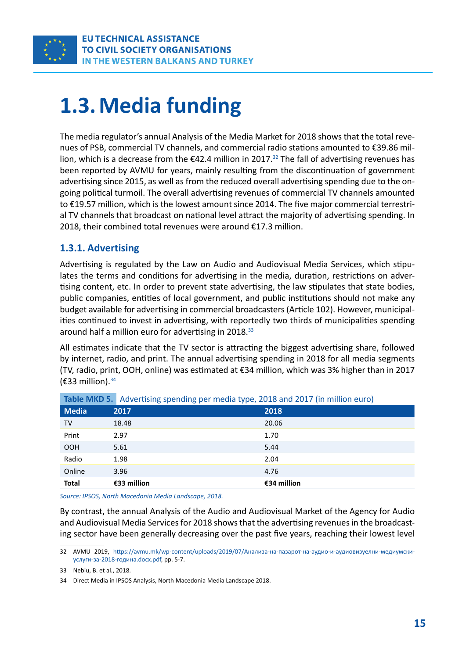<span id="page-14-0"></span>

# **1.3. Media funding**

The media regulator's annual Analysis of the Media Market for 2018 shows that the total revenues of PSB, commercial TV channels, and commercial radio stations amounted to €39.86 million, which is a decrease from the  $\epsilon$ 42.4 million in 2017.<sup>32</sup> The fall of advertising revenues has been reported by AVMU for years, mainly resulting from the discontinuation of government advertising since 2015, as well as from the reduced overall advertising spending due to the ongoing political turmoil. The overall advertising revenues of commercial TV channels amounted to €19.57 million, which is the lowest amount since 2014. The five major commercial terrestrial TV channels that broadcast on national level attract the majority of advertising spending. In 2018, their combined total revenues were around €17.3 million.

#### **1.3.1. Advertising**

Advertising is regulated by the Law on Audio and Audiovisual Media Services, which stipulates the terms and conditions for advertising in the media, duration, restrictions on advertising content, etc. In order to prevent state advertising, the law stipulates that state bodies, public companies, entities of local government, and public institutions should not make any budget available for advertising in commercial broadcasters (Article 102). However, municipalities continued to invest in advertising, with reportedly two thirds of municipalities spending around half a million euro for advertising in 2018.<sup>33</sup>

All estimates indicate that the TV sector is attracting the biggest advertising share, followed by internet, radio, and print. The annual advertising spending in 2018 for all media segments (TV, radio, print, OOH, online) was estimated at €34 million, which was 3% higher than in 2017 ( $\epsilon$ 33 million).<sup>34</sup>

|              | <b>Table MIND 3.</b> Advertising speriumg per media type, 2016 and 2017 (in minion edit) |             |
|--------------|------------------------------------------------------------------------------------------|-------------|
| <b>Media</b> | 2017                                                                                     | 2018        |
| TV           | 18.48                                                                                    | 20.06       |
| Print        | 2.97                                                                                     | 1.70        |
| <b>OOH</b>   | 5.61                                                                                     | 5.44        |
| Radio        | 1.98                                                                                     | 2.04        |
| Online       | 3.96                                                                                     | 4.76        |
| <b>Total</b> | €33 million                                                                              | €34 million |

**Table MKD 5. Advertising spending per media type, 2018 and 2017 (in million euro)** 

*Source: IPSOS, North Macedonia Media Landscape, 2018.*

By contrast, the annual Analysis of the Audio and Audiovisual Market of the Agency for Audio and Audiovisual Media Services for 2018 shows that the advertising revenues in the broadcasting sector have been generally decreasing over the past five years, reaching their lowest level

<sup>32</sup> AVMU 2019, [https://avmu.mk/wp-content/uploads/2019/07/Анализа-на-пазарот-на-аудио-и-аудиовизуелни-медиумски](https://avmu.mk/wp-content/uploads/2019/07/%D0%90%D0%BD%D0%B0%D0%BB%D0%B8%D0%B7%D0%B0-%D0%BD%D0%B0-%D0%BF%D0%B0%D0%B7%D0%B0%D1%80%D0%BE%D1%82-%D0%BD%D0%B0-%D0%B0%D1%83%D0%B4%D0%B8%D0%BE-%D0%B8-%D0%B0%D1%83%D0%B4%D0%B8%D0%BE%D0%B2%D0%B8%D0%B7%D1%83%D0%B5%D0%BB%D0%BD%D0%B8-%D0%BC%D0%B5%D0%B4%D0%B8%D1%83%D0%BC%D1%81%D0%BA%D0%B8-%D1%83%D1%81%D0%BB%D1%83%D0%B3%D0%B8-%D0%B7%D0%B0-2018-%D0%B3%D0%BE%D0%B4%D0%B8%D0%BD%D0%B0.docx.pdf)[услуги-за-2018-година.docx.pdf,](https://avmu.mk/wp-content/uploads/2019/07/%D0%90%D0%BD%D0%B0%D0%BB%D0%B8%D0%B7%D0%B0-%D0%BD%D0%B0-%D0%BF%D0%B0%D0%B7%D0%B0%D1%80%D0%BE%D1%82-%D0%BD%D0%B0-%D0%B0%D1%83%D0%B4%D0%B8%D0%BE-%D0%B8-%D0%B0%D1%83%D0%B4%D0%B8%D0%BE%D0%B2%D0%B8%D0%B7%D1%83%D0%B5%D0%BB%D0%BD%D0%B8-%D0%BC%D0%B5%D0%B4%D0%B8%D1%83%D0%BC%D1%81%D0%BA%D0%B8-%D1%83%D1%81%D0%BB%D1%83%D0%B3%D0%B8-%D0%B7%D0%B0-2018-%D0%B3%D0%BE%D0%B4%D0%B8%D0%BD%D0%B0.docx.pdf) pp. 5-7.

<sup>33</sup> Nebiu, B. et al., 2018.

<sup>34</sup> Direct Media in IPSOS Analysis, North Macedonia Media Landscape 2018.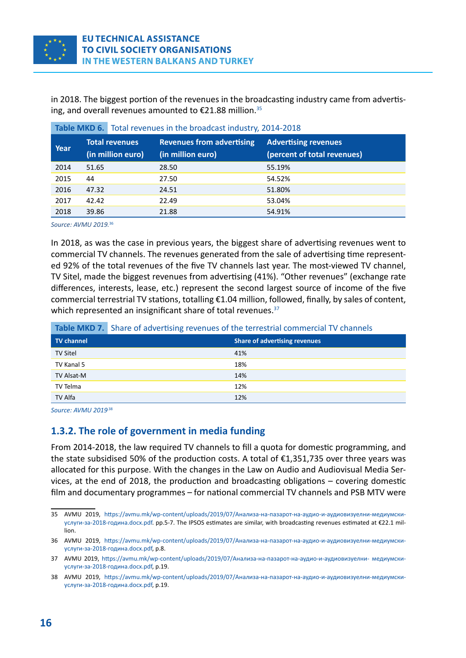<span id="page-15-0"></span>in 2018. The biggest portion of the revenues in the broadcasting industry came from advertising, and overall revenues amounted to  $\epsilon$ 21.88 million.<sup>35</sup>

| Year | <b>Total revenues</b><br>(in million euro) | <b>Revenues from advertising</b><br>(in million euro) | <b>Advertising revenues</b><br>(percent of total revenues) |
|------|--------------------------------------------|-------------------------------------------------------|------------------------------------------------------------|
| 2014 | 51.65                                      | 28.50                                                 | 55.19%                                                     |
| 2015 | 44                                         | 27.50                                                 | 54.52%                                                     |
| 2016 | 47.32                                      | 24.51                                                 | 51.80%                                                     |
| 2017 | 42.42                                      | 22.49                                                 | 53.04%                                                     |
| 2018 | 39.86                                      | 21.88                                                 | 54.91%                                                     |

|  | Table MKD 6. Total revenues in the broadcast industry, 2014-2018 |
|--|------------------------------------------------------------------|
|--|------------------------------------------------------------------|

*Source: AVMU 2019.*<sup>36</sup>

In 2018, as was the case in previous years, the biggest share of advertising revenues went to commercial TV channels. The revenues generated from the sale of advertising time represented 92% of the total revenues of the five TV channels last year. The most-viewed TV channel, TV Sitel, made the biggest revenues from advertising (41%). "Other revenues" (exchange rate differences, interests, lease, etc.) represent the second largest source of income of the five commercial terrestrial TV stations, totalling €1.04 million, followed, finally, by sales of content, which represented an insignificant share of total revenues.<sup>37</sup>

|  | Table MKD 7. Share of advertising revenues of the terrestrial commercial TV channels |
|--|--------------------------------------------------------------------------------------|
|--|--------------------------------------------------------------------------------------|

| <b>TV</b> channel | <b>Share of advertising revenues</b> |
|-------------------|--------------------------------------|
| <b>TV Sitel</b>   | 41%                                  |
| TV Kanal 5        | 18%                                  |
| TV Alsat-M        | 14%                                  |
| TV Telma          | 12%                                  |
| TV Alfa           | 12%                                  |

*Source: AVMU 2019.*<sup>38</sup>

#### **1.3.2. The role of government in media funding**

From 2014-2018, the law required TV channels to fill a quota for domestic programming, and the state subsidised 50% of the production costs. A total of €1,351,735 over three years was allocated for this purpose. With the changes in the Law on Audio and Audiovisual Media Services, at the end of 2018, the production and broadcasting obligations – covering domestic film and documentary programmes – for national commercial TV channels and PSB MTV were

<sup>35</sup> AVMU 2019, [https://avmu.mk/wp-content/uploads/2019/07/Анализа-на-пазарот-на-аудио-и-аудиовизуелни-медиумски](https://avmu.mk/wp-content/uploads/2019/07/%D0%90%D0%BD%D0%B0%D0%BB%D0%B8%D0%B7%D0%B0-%D0%BD%D0%B0-%D0%BF%D0%B0%D0%B7%D0%B0%D1%80%D0%BE%D1%82-%D0%BD%D0%B0-%D0%B0%D1%83%D0%B4%D0%B8%D0%BE-%D0%B8-%D0%B0%D1%83%D0%B4%D0%B8%D0%BE%D0%B2%D0%B8%D0%B7%D1%83%D0%B5%D0%BB%D0%BD%D0%B8-%D0%BC%D0%B5%D0%B4%D0%B8%D1%83%D0%BC%D1%81%D0%BA%D0%B8-%D1%83%D1%81%D0%BB%D1%83%D0%B3%D0%B8-%D0%B7%D0%B0-2018-%D0%B3%D0%BE%D0%B4%D0%B8%D0%BD%D0%B0.docx.pdf)[услуги-за-2018-година.docx.pdf.](https://avmu.mk/wp-content/uploads/2019/07/%D0%90%D0%BD%D0%B0%D0%BB%D0%B8%D0%B7%D0%B0-%D0%BD%D0%B0-%D0%BF%D0%B0%D0%B7%D0%B0%D1%80%D0%BE%D1%82-%D0%BD%D0%B0-%D0%B0%D1%83%D0%B4%D0%B8%D0%BE-%D0%B8-%D0%B0%D1%83%D0%B4%D0%B8%D0%BE%D0%B2%D0%B8%D0%B7%D1%83%D0%B5%D0%BB%D0%BD%D0%B8-%D0%BC%D0%B5%D0%B4%D0%B8%D1%83%D0%BC%D1%81%D0%BA%D0%B8-%D1%83%D1%81%D0%BB%D1%83%D0%B3%D0%B8-%D0%B7%D0%B0-2018-%D0%B3%D0%BE%D0%B4%D0%B8%D0%BD%D0%B0.docx.pdf) pp.5-7. The IPSOS estimates are similar, with broadcasting revenues estimated at €22.1 million.

<sup>36</sup> AVMU 2019, [https://avmu.mk/wp-content/uploads/2019/07/Анализа-на-пазарот-на-аудио-и-аудиовизуелни-медиумски](https://avmu.mk/wp-content/uploads/2019/07/%D0%90%D0%BD%D0%B0%D0%BB%D0%B8%D0%B7%D0%B0-%D0%BD%D0%B0-%D0%BF%D0%B0%D0%B7%D0%B0%D1%80%D0%BE%D1%82-%D0%BD%D0%B0-%D0%B0%D1%83%D0%B4%D0%B8%D0%BE-%D0%B8-%D0%B0%D1%83%D0%B4%D0%B8%D0%BE%D0%B2%D0%B8%D0%B7%D1%83%D0%B5%D0%BB%D0%BD%D0%B8-%D0%BC%D0%B5%D0%B4%D0%B8%D1%83%D0%BC%D1%81%D0%BA%D0%B8-%D1%83%D1%81%D0%BB%D1%83%D0%B3%D0%B8-%D0%B7%D0%B0-2018-%D0%B3%D0%BE%D0%B4%D0%B8%D0%BD%D0%B0.docx.pdf)[услуги-за-2018-година.docx.pdf,](https://avmu.mk/wp-content/uploads/2019/07/%D0%90%D0%BD%D0%B0%D0%BB%D0%B8%D0%B7%D0%B0-%D0%BD%D0%B0-%D0%BF%D0%B0%D0%B7%D0%B0%D1%80%D0%BE%D1%82-%D0%BD%D0%B0-%D0%B0%D1%83%D0%B4%D0%B8%D0%BE-%D0%B8-%D0%B0%D1%83%D0%B4%D0%B8%D0%BE%D0%B2%D0%B8%D0%B7%D1%83%D0%B5%D0%BB%D0%BD%D0%B8-%D0%BC%D0%B5%D0%B4%D0%B8%D1%83%D0%BC%D1%81%D0%BA%D0%B8-%D1%83%D1%81%D0%BB%D1%83%D0%B3%D0%B8-%D0%B7%D0%B0-2018-%D0%B3%D0%BE%D0%B4%D0%B8%D0%BD%D0%B0.docx.pdf) p.8.

<sup>37</sup> AVMU 2019, [https://avmu.mk/wp-content/uploads/2019/07/Анализа-на-пазарот-на-аудио-и-аудиовизуелни- медиумски](https://avmu.mk/wp-content/uploads/2019/07/Àíàëèçà-íà-ïàçàðîò-íà-àóäèî-è-àóäèîâèçóåëíè- медиумски-услуги-за-2018-година.docx.pdf)[услуги-за-2018-година.docx.pdf,](https://avmu.mk/wp-content/uploads/2019/07/Àíàëèçà-íà-ïàçàðîò-íà-àóäèî-è-àóäèîâèçóåëíè- медиумски-услуги-за-2018-година.docx.pdf) p.19.

<sup>38</sup> AVMU 2019, [https://avmu.mk/wp-content/uploads/2019/07/Анализа-на-пазарот-на-аудио-и-аудиовизуелни-медиумски](https://avmu.mk/wp-content/uploads/2019/07/%D0%90%D0%BD%D0%B0%D0%BB%D0%B8%D0%B7%D0%B0-%D0%BD%D0%B0-%D0%BF%D0%B0%D0%B7%D0%B0%D1%80%D0%BE%D1%82-%D0%BD%D0%B0-%D0%B0%D1%83%D0%B4%D0%B8%D0%BE-%D0%B8-%D0%B0%D1%83%D0%B4%D0%B8%D0%BE%D0%B2%D0%B8%D0%B7%D1%83%D0%B5%D0%BB%D0%BD%D0%B8-%D0%BC%D0%B5%D0%B4%D0%B8%D1%83%D0%BC%D1%81%D0%BA%D0%B8-%D1%83%D1%81%D0%BB%D1%83%D0%B3%D0%B8-%D0%B7%D0%B0-2018-%D0%B3%D0%BE%D0%B4%D0%B8%D0%BD%D0%B0.docx.pdf)[услуги-за-2018-година.docx.pdf,](https://avmu.mk/wp-content/uploads/2019/07/%D0%90%D0%BD%D0%B0%D0%BB%D0%B8%D0%B7%D0%B0-%D0%BD%D0%B0-%D0%BF%D0%B0%D0%B7%D0%B0%D1%80%D0%BE%D1%82-%D0%BD%D0%B0-%D0%B0%D1%83%D0%B4%D0%B8%D0%BE-%D0%B8-%D0%B0%D1%83%D0%B4%D0%B8%D0%BE%D0%B2%D0%B8%D0%B7%D1%83%D0%B5%D0%BB%D0%BD%D0%B8-%D0%BC%D0%B5%D0%B4%D0%B8%D1%83%D0%BC%D1%81%D0%BA%D0%B8-%D1%83%D1%81%D0%BB%D1%83%D0%B3%D0%B8-%D0%B7%D0%B0-2018-%D0%B3%D0%BE%D0%B4%D0%B8%D0%BD%D0%B0.docx.pdf) p.19.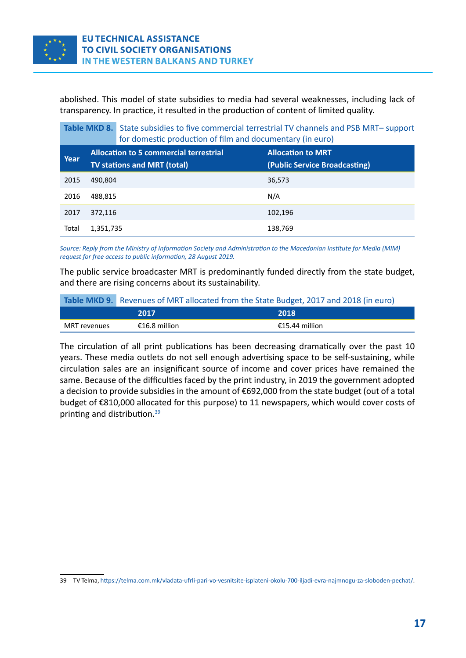<span id="page-16-0"></span>

abolished. This model of state subsidies to media had several weaknesses, including lack of transparency. In practice, it resulted in the production of content of limited quality.

 **Table MKD 8.** State subsidies to five commercial terrestrial TV channels and PSB MRT– support for domestic production of film and documentary (in euro)

| Year  | <b>Allocation to 5 commercial terrestrial</b><br><b>TV stations and MRT (total)</b> | <b>Allocation to MRT</b><br>(Public Service Broadcasting) |
|-------|-------------------------------------------------------------------------------------|-----------------------------------------------------------|
| 2015  | 490,804                                                                             | 36,573                                                    |
| 2016  | 488,815                                                                             | N/A                                                       |
| 2017  | 372,116                                                                             | 102,196                                                   |
| Total | 1,351,735                                                                           | 138,769                                                   |

*Source: Reply from the Ministry of Information Society and Administration to the Macedonian Institute for Media (MIM) request for free access to public information, 28 August 2019.*

The public service broadcaster MRT is predominantly funded directly from the state budget, and there are rising concerns about its sustainability.

#### **Table MKD 9.** Revenues of MRT allocated from the State Budget, 2017 and 2018 (in euro)

|              | 2017          | 2018           |
|--------------|---------------|----------------|
| MRT revenues | €16.8 million | €15.44 million |

The circulation of all print publications has been decreasing dramatically over the past 10 years. These media outlets do not sell enough advertising space to be self-sustaining, while circulation sales are an insignificant source of income and cover prices have remained the same. Because of the difficulties faced by the print industry, in 2019 the government adopted a decision to provide subsidies in the amount of €692,000 from the state budget (out of a total budget of €810,000 allocated for this purpose) to 11 newspapers, which would cover costs of printing and distribution.39

<sup>39</sup> TV Telma,<https://telma.com.mk/vladata-ufrli-pari-vo-vesnitsite-isplateni-okolu-700-iljadi-evra-najmnogu-za-sloboden-pechat/>.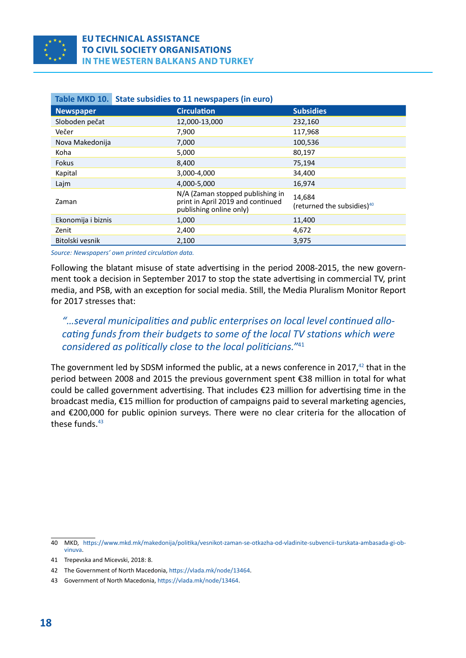<span id="page-17-0"></span>

|                    | Table MKD 10. State subsidies to 11 newspapers (in euro)                                         |                                                  |
|--------------------|--------------------------------------------------------------------------------------------------|--------------------------------------------------|
| <b>Newspaper</b>   | <b>Circulation</b>                                                                               | <b>Subsidies</b>                                 |
| Sloboden pečat     | 12,000-13,000                                                                                    | 232,160                                          |
| Večer              | 7,900                                                                                            | 117,968                                          |
| Nova Makedonija    | 7,000                                                                                            | 100,536                                          |
| Koha               | 5,000                                                                                            | 80,197                                           |
| Fokus              | 8,400                                                                                            | 75,194                                           |
| Kapital            | 3,000-4,000                                                                                      | 34,400                                           |
| Lajm               | 4.000-5.000                                                                                      | 16,974                                           |
| Zaman              | N/A (Zaman stopped publishing in<br>print in April 2019 and continued<br>publishing online only) | 14,684<br>(returned the subsidies) <sup>40</sup> |
| Ekonomija i biznis | 1,000                                                                                            | 11,400                                           |
| Zenit              | 2,400                                                                                            | 4,672                                            |
| Bitolski vesnik    | 2,100                                                                                            | 3,975                                            |

#### **Table MKD 10.  State subsidies to 11 newspapers (in euro)**

*Source: Newspapers' own printed circulation data.*

Following the blatant misuse of state advertising in the period 2008-2015, the new government took a decision in September 2017 to stop the state advertising in commercial TV, print media, and PSB, with an exception for social media. Still, the Media Pluralism Monitor Report for 2017 stresses that:

#### *"…several municipalities and public enterprises on local level continued allocating funds from their budgets to some of the local TV stations which were considered as politically close to the local politicians."*<sup>41</sup>

The government led by SDSM informed the public, at a news conference in 2017, $42$  that in the period between 2008 and 2015 the previous government spent €38 million in total for what could be called government advertising. That includes €23 million for advertising time in the broadcast media, €15 million for production of campaigns paid to several marketing agencies, and €200,000 for public opinion surveys. There were no clear criteria for the allocation of these funds. $43$ 

<sup>40</sup> MKD, [https://www.mkd.mk/makedonija/politika/vesnikot-zaman-se-otkazha-od-vladinite-subvencii-turskata-ambasada-gi-ob](https://www.mkd.mk/makedonija/politika/vesnikot-zaman-se-otkazha-od-vladinite-subvencii-turskata-ambasada-gi-obvinuva)[vinuva.](https://www.mkd.mk/makedonija/politika/vesnikot-zaman-se-otkazha-od-vladinite-subvencii-turskata-ambasada-gi-obvinuva)

<sup>41</sup> Trepevska and Micevski, 2018: 8.

<sup>42</sup> The Government of North Macedonia,<https://vlada.mk/node/13464>.

<sup>43</sup> Government of North Macedonia,<https://vlada.mk/node/13464>.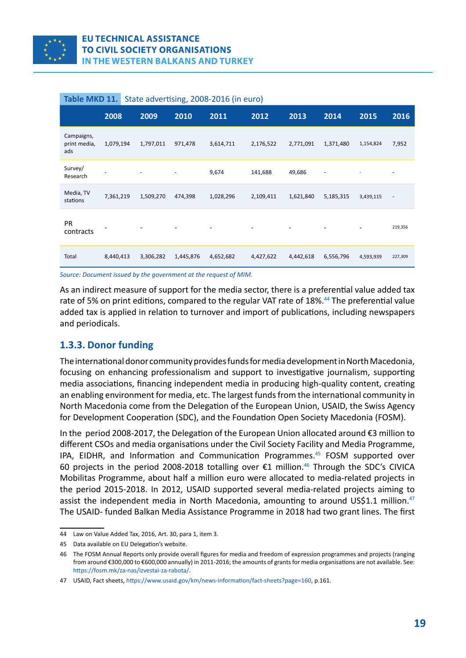<span id="page-18-0"></span>

|                                   | 2008      | 2009                     | 2010                     | 2011      | 2012                     | 2013                     | 2014                     | 2015                     | 2016                     |
|-----------------------------------|-----------|--------------------------|--------------------------|-----------|--------------------------|--------------------------|--------------------------|--------------------------|--------------------------|
| Campaigns,<br>print media,<br>ads | 1,079,194 | 1,797,011                | 971,478                  | 3,614,711 | 2,176,522                | 2,771,091                | 1,371,480                | 1,154,824                | 7,952                    |
| Survey/<br>Research               |           | $\overline{\phantom{a}}$ | $\overline{\phantom{a}}$ | 9,674     | 141,688                  | 49,686                   | $\overline{\phantom{a}}$ | $\overline{\phantom{0}}$ | $\overline{\phantom{a}}$ |
| Media, TV<br>stations             | 7,361,219 | 1,509,270                | 474,398                  | 1,028,296 | 2,109,411                | 1,621,840                | 5,185,315                | 3,439,115                | $\overline{\phantom{a}}$ |
| <b>PR</b><br>contracts            |           |                          |                          |           | $\overline{\phantom{a}}$ | $\overline{\phantom{a}}$ |                          |                          | 219,356                  |
| Total                             | 8,440,413 | 3,306,282                | 1,445,876                | 4,652,682 | 4,427,622                | 4,442,618                | 6,556,796                | 4,593,939                | 227,309                  |

#### **Table MKD 11.** State advertising, 2008-2016 (in euro)

*Source: Document issued by the government at the request of MIM.*

As an indirect measure of support for the media sector, there is a preferential value added tax rate of 5% on print editions, compared to the regular VAT rate of 18%.<sup>44</sup> The preferential value added tax is applied in relation to turnover and import of publications, including newspapers and periodicals.

#### **1.3.3. Donor funding**

The international donor community provides funds for media development in North Macedonia, focusing on enhancing professionalism and support to investigative journalism, supporting media associations, financing independent media in producing high-quality content, creating an enabling environment for media, etc. The largest funds from the international community in North Macedonia come from the Delegation of the European Union, USAID, the Swiss Agency for Development Cooperation (SDC), and the Foundation Open Society Macedonia (FOSM).

In the period 2008-2017, the Delegation of the European Union allocated around €3 million to different CSOs and media organisations under the Civil Society Facility and Media Programme, IPA, EIDHR, and Information and Communication Programmes.<sup>45</sup> FOSM supported over 60 projects in the period 2008-2018 totalling over €1 million.<sup>46</sup> Through the SDC's CIVICA Mobilitas Programme, about half a million euro were allocated to media-related projects in the period 2015-2018. In 2012, USAID supported several media-related projects aiming to assist the independent media in North Macedonia, amounting to around US\$1.1 million.<sup>47</sup> The USAID- funded Balkan Media Assistance Programme in 2018 had two grant lines. The first

<sup>44</sup> Law on Value Added Tax, 2016, Art. 30, para 1, item 3.

<sup>45</sup> Data available on EU Delegation's website.

<sup>46</sup> The FOSM Annual Reports only provide overall figures for media and freedom of expression programmes and projects (ranging from around €300,000 to €600,000 annually) in 2011-2016; the amounts of grants for media organisations are not available. See: https://fosm.mk/za-nas/izvestai-za-rabota/.

<sup>47</sup> [USAID, Fact sheets, https://www.usaid.gov/km/news-information/fact-sheets?page=160,](about:blank) p.161.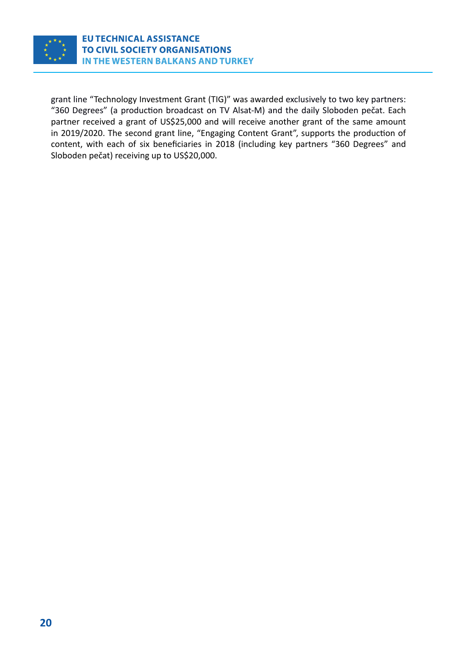

grant line "Technology Investment Grant (TIG)" was awarded exclusively to two key partners: "360 Degrees" (a production broadcast on TV Alsat-M) and the daily Sloboden pečat. Each partner received a grant of US\$25,000 and will receive another grant of the same amount in 2019/2020. The second grant line, "Engaging Content Grant", supports the production of content, with each of six beneficiaries in 2018 (including key partners "360 Degrees" and Sloboden pečat) receiving up to US\$20,000.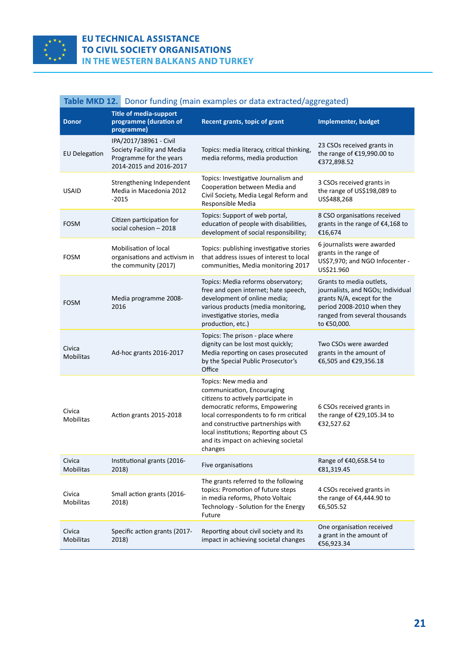<span id="page-20-0"></span>

#### **EU TECHNICAL ASSISTANCE** TO CIVIL SOCIETY ORGANISATIONS **IN THE WESTERN BALKANS AND TURKEY**

|  | <b>Table MKD 12.</b> Donor funding (main examples or data extracted/aggregated) |
|--|---------------------------------------------------------------------------------|
|--|---------------------------------------------------------------------------------|

| <b>Donor</b>               | <b>Title of media-support</b><br>programme (duration of<br>programme)                                      | <b>Recent grants, topic of grant</b>                                                                                                                                                                                                                                                                      | <b>Implementer, budget</b>                                                                                                                                                |
|----------------------------|------------------------------------------------------------------------------------------------------------|-----------------------------------------------------------------------------------------------------------------------------------------------------------------------------------------------------------------------------------------------------------------------------------------------------------|---------------------------------------------------------------------------------------------------------------------------------------------------------------------------|
| <b>EU Delegation</b>       | IPA/2017/38961 - Civil<br>Society Facility and Media<br>Programme for the years<br>2014-2015 and 2016-2017 | Topics: media literacy, critical thinking,<br>media reforms, media production                                                                                                                                                                                                                             | 23 CSOs received grants in<br>the range of €19,990.00 to<br>€372,898.52                                                                                                   |
| <b>USAID</b>               | Strengthening Independent<br>Media in Macedonia 2012<br>$-2015$                                            | Topics: Investigative Journalism and<br>Cooperation between Media and<br>Civil Society, Media Legal Reform and<br>Responsible Media                                                                                                                                                                       | 3 CSOs received grants in<br>the range of US\$198,089 to<br>US\$488,268                                                                                                   |
| <b>FOSM</b>                | Citizen participation for<br>social cohesion - 2018                                                        | Topics: Support of web portal,<br>education of people with disabilities,<br>development of social responsibility;                                                                                                                                                                                         | 8 CSO organisations received<br>grants in the range of €4,168 to<br>€16,674                                                                                               |
| <b>FOSM</b>                | Mobilisation of local<br>organisations and activism in<br>the community (2017)                             | Topics: publishing investigative stories<br>that address issues of interest to local<br>communities, Media monitoring 2017                                                                                                                                                                                | 6 journalists were awarded<br>grants in the range of<br>US\$7,970; and NGO Infocenter -<br>US\$21.960                                                                     |
| <b>FOSM</b>                | Media programme 2008-<br>2016                                                                              | Topics: Media reforms observatory;<br>free and open internet; hate speech,<br>development of online media;<br>various products (media monitoring,<br>investigative stories, media<br>production, etc.)                                                                                                    | Grants to media outlets,<br>journalists, and NGOs; Individual<br>grants N/A, except for the<br>period 2008-2010 when they<br>ranged from several thousands<br>to €50,000. |
| Civica<br>Mobilitas        | Ad-hoc grants 2016-2017                                                                                    | Topics: The prison - place where<br>dignity can be lost most quickly;<br>Media reporting on cases prosecuted<br>by the Special Public Prosecutor's<br>Office                                                                                                                                              | Two CSOs were awarded<br>grants in the amount of<br>€6,505 and €29,356.18                                                                                                 |
| Civica<br>Mobilitas        | Action grants 2015-2018                                                                                    | Topics: New media and<br>communication, Encouraging<br>citizens to actively participate in<br>democratic reforms, Empowering<br>local correspondents to fo rm critical<br>and constructive partnerships with<br>local institutions; Reporting about CS<br>and its impact on achieving societal<br>changes | 6 CSOs received grants in<br>the range of €29,105.34 to<br>€32,527.62                                                                                                     |
| Civica<br>Mobilitas        | Institutional grants (2016-<br>2018)                                                                       | Five organisations                                                                                                                                                                                                                                                                                        | Range of €40,658.54 to<br>€81,319.45                                                                                                                                      |
| Civica<br><b>Mobilitas</b> | Small action grants (2016-<br>2018)                                                                        | The grants referred to the following<br>topics: Promotion of future steps<br>in media reforms, Photo Voltaic<br>Technology - Solution for the Energy<br>Future                                                                                                                                            | 4 CSOs received grants in<br>the range of €4,444.90 to<br>€6,505.52                                                                                                       |
| Civica<br><b>Mobilitas</b> | Specific action grants (2017-<br>2018)                                                                     | Reporting about civil society and its<br>impact in achieving societal changes                                                                                                                                                                                                                             | One organisation received<br>a grant in the amount of<br>€56,923.34                                                                                                       |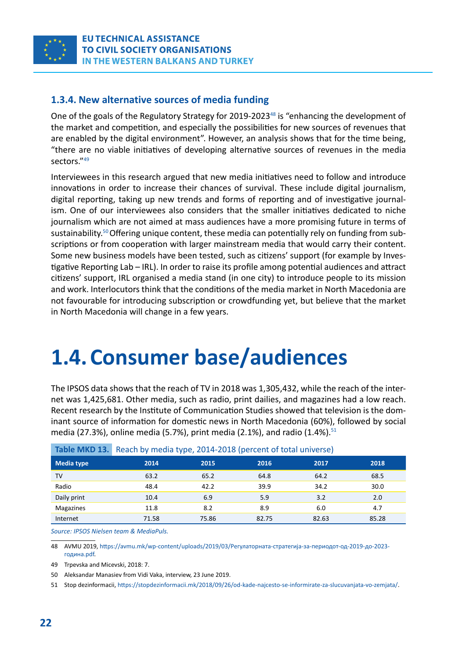<span id="page-21-0"></span>

#### **1.3.4. New alternative sources of media funding**

One of the goals of the Regulatory Strategy for 2019-2023<sup>48</sup> is "enhancing the development of the market and competition, and especially the possibilities for new sources of revenues that are enabled by the digital environment". However, an analysis shows that for the time being, "there are no viable initiatives of developing alternative sources of revenues in the media sectors."49

Interviewees in this research argued that new media initiatives need to follow and introduce innovations in order to increase their chances of survival. These include digital journalism, digital reporting, taking up new trends and forms of reporting and of investigative journalism. One of our interviewees also considers that the smaller initiatives dedicated to niche journalism which are not aimed at mass audiences have a more promising future in terms of sustainability.<sup>50</sup> Offering unique content, these media can potentially rely on funding from subscriptions or from cooperation with larger mainstream media that would carry their content. Some new business models have been tested, such as citizens' support (for example by Investigative Reporting Lab – IRL). In order to raise its profile among potential audiences and attract citizens' support, IRL organised a media stand (in one city) to introduce people to its mission and work. Interlocutors think that the conditions of the media market in North Macedonia are not favourable for introducing subscription or crowdfunding yet, but believe that the market in North Macedonia will change in a few years.

# **1.4. Consumer base/audiences**

The IPSOS data shows that the reach of TV in 2018 was 1,305,432, while the reach of the internet was 1,425,681. Other media, such as radio, print dailies, and magazines had a low reach. Recent research by the Institute of Communication Studies showed that television is the dominant source of information for domestic news in North Macedonia (60%), followed by social media (27.3%), online media (5.7%), print media (2.1%), and radio (1.4%).<sup>51</sup>

| 19.919111197221 | $1.00011$ by Theora type) $2021$ $2030$ (per octric of total anniverse) |       |       |       |       |
|-----------------|-------------------------------------------------------------------------|-------|-------|-------|-------|
| Media type      | 2014                                                                    | 2015  | 2016  | 2017  | 2018  |
| TV              | 63.2                                                                    | 65.2  | 64.8  | 64.2  | 68.5  |
| Radio           | 48.4                                                                    | 42.2  | 39.9  | 34.2  | 30.0  |
| Daily print     | 10.4                                                                    | 6.9   | 5.9   | 3.2   | 2.0   |
| Magazines       | 11.8                                                                    | 8.2   | 8.9   | 6.0   | 4.7   |
| Internet        | 71.58                                                                   | 75.86 | 82.75 | 82.63 | 85.28 |

**Table MKD 13.** Reach by media type, 2014-2018 (percent of total universe)

*Source: IPSOS Nielsen team & MediaPuls.*

48 AVMU 2019, [https://avmu.mk/wp-content/uploads/2019/03/Регулаторната-стратегија-за-периодот-од-2019-до-2023](https://avmu.mk/wp-content/uploads/2019/03/%D0%A0%D0%B5%D0%B3%D1%83%D0%BB%D0%B0%D1%82%D0%BE%D1%80%D0%BD%D0%B0%D1%82%D0%B0-%D1%81%D1%82%D1%80%D0%B0%D1%82%D0%B5%D0%B3%D0%B8%D1%98%D0%B0-%D0%B7%D0%B0-%D0%BF%D0%B5%D1%80%D0%B8%D0%BE%D0%B4%D0%BE%D1%82-%D0%BE%D0%B4-2019-%D0%B4%D0%BE-2023-%D0%B3%D0%BE%D0%B4%D0%B8%D0%BD%D0%B0.pdf) [година.pdf](https://avmu.mk/wp-content/uploads/2019/03/%D0%A0%D0%B5%D0%B3%D1%83%D0%BB%D0%B0%D1%82%D0%BE%D1%80%D0%BD%D0%B0%D1%82%D0%B0-%D1%81%D1%82%D1%80%D0%B0%D1%82%D0%B5%D0%B3%D0%B8%D1%98%D0%B0-%D0%B7%D0%B0-%D0%BF%D0%B5%D1%80%D0%B8%D0%BE%D0%B4%D0%BE%D1%82-%D0%BE%D0%B4-2019-%D0%B4%D0%BE-2023-%D0%B3%D0%BE%D0%B4%D0%B8%D0%BD%D0%B0.pdf).

49 Trpevska and Micevski, 2018: 7.

50 Aleksandar Manasiev from Vidi Vaka, interview, 23 June 2019.

51 Stop dezinformacii,<https://stopdezinformacii.mk/2018/09/26/od-kade-najcesto-se-informirate-za-slucuvanjata-vo-zemjata/>.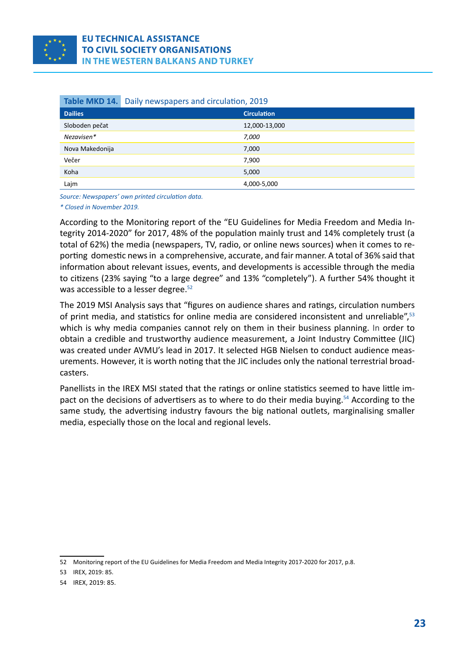<span id="page-22-0"></span>

|                 | Table MKD 14. Daily newspapers and circulation, 2019 |  |
|-----------------|------------------------------------------------------|--|
| <b>Dailies</b>  | <b>Circulation</b>                                   |  |
| Sloboden pečat  | 12,000-13,000                                        |  |
| Nezavisen*      | 7,000                                                |  |
| Nova Makedonija | 7,000                                                |  |
| Večer           | 7,900                                                |  |
| Koha            | 5,000                                                |  |
| Lajm            | 4,000-5,000                                          |  |

*Source: Newspapers' own printed circulation data.*

*\* Closed in November 2019.*

According to the Monitoring report of the "EU Guidelines for Media Freedom and Media Integrity 2014-2020" for 2017, 48% of the population mainly trust and 14% completely trust (a total of 62%) the media (newspapers, TV, radio, or online news sources) when it comes to reporting domestic news in a comprehensive, accurate, and fair manner. A total of 36% said that information about relevant issues, events, and developments is accessible through the media to citizens (23% saying "to a large degree" and 13% "completely"). A further 54% thought it was accessible to a lesser degree.<sup>52</sup>

The 2019 MSI Analysis says that "figures on audience shares and ratings, circulation numbers of print media, and statistics for online media are considered inconsistent and unreliable",<sup>53</sup> which is why media companies cannot rely on them in their business planning. In order to obtain a credible and trustworthy audience measurement, a Joint Industry Committee (JIC) was created under AVMU's lead in 2017. It selected HGB Nielsen to conduct audience measurements. However, it is worth noting that the JIC includes only the national terrestrial broadcasters.

Panellists in the IREX MSI stated that the ratings or online statistics seemed to have little impact on the decisions of advertisers as to where to do their media buying.<sup>54</sup> According to the same study, the advertising industry favours the big national outlets, marginalising smaller media, especially those on the local and regional levels.

<sup>52</sup> Monitoring report of the EU Guidelines for Media Freedom and Media Integrity 2017-2020 for 2017, p.8.

<sup>53</sup> IREX, 2019: 85.

<sup>54</sup> IREX, 2019: 85.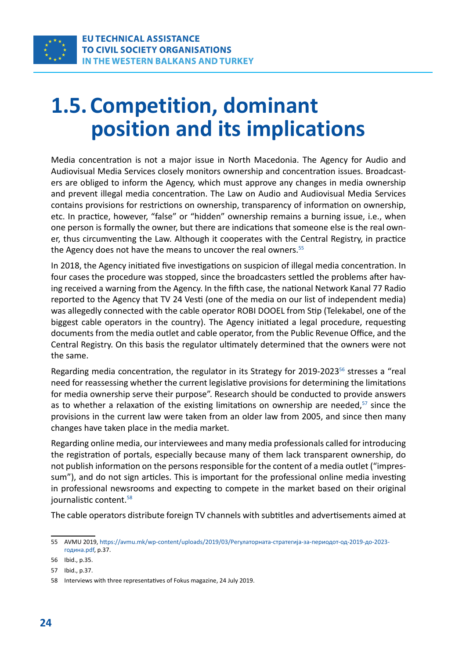<span id="page-23-0"></span>

## **1.5. Competition, dominant position and its implications**

Media concentration is not a major issue in North Macedonia. The Agency for Audio and Audiovisual Media Services closely monitors ownership and concentration issues. Broadcasters are obliged to inform the Agency, which must approve any changes in media ownership and prevent illegal media concentration. The Law on Audio and Audiovisual Media Services contains provisions for restrictions on ownership, transparency of information on ownership, etc. In practice, however, "false" or "hidden" ownership remains a burning issue, i.e., when one person is formally the owner, but there are indications that someone else is the real owner, thus circumventing the Law. Although it cooperates with the Central Registry, in practice the Agency does not have the means to uncover the real owners.<sup>55</sup>

In 2018, the Agency initiated five investigations on suspicion of illegal media concentration. In four cases the procedure was stopped, since the broadcasters settled the problems after having received a warning from the Agency. In the fifth case, the national Network Kanal 77 Radio reported to the Agency that TV 24 Vesti (one of the media on our list of independent media) was allegedly connected with the cable operator ROBI DOOEL from Stip (Telekabel, one of the biggest cable operators in the country). The Agency initiated a legal procedure, requesting documents from the media outlet and cable operator, from the Public Revenue Office, and the Central Registry. On this basis the regulator ultimately determined that the owners were not the same.

Regarding media concentration, the regulator in its Strategy for 2019-2023<sup>56</sup> stresses a "real need for reassessing whether the current legislative provisions for determining the limitations for media ownership serve their purpose". Research should be conducted to provide answers as to whether a relaxation of the existing limitations on ownership are needed, $57$  since the provisions in the current law were taken from an older law from 2005, and since then many changes have taken place in the media market.

Regarding online media, our interviewees and many media professionals called for introducing the registration of portals, especially because many of them lack transparent ownership, do not publish information on the persons responsible for the content of a media outlet ("impressum"), and do not sign articles. This is important for the professional online media investing in professional newsrooms and expecting to compete in the market based on their original journalistic content.<sup>58</sup>

The cable operators distribute foreign TV channels with subtitles and advertisements aimed at

<sup>55</sup> AVMU 2019, [https://avmu.mk/wp-content/uploads/2019/03/Регулаторната-стратегија-за-периодот-од-2019-до-2023](https://avmu.mk/wp-content/uploads/2019/03/%D0%A0%D0%B5%D0%B3%D1%83%D0%BB%D0%B0%D1%82%D0%BE%D1%80%D0%BD%D0%B0%D1%82%D0%B0-%D1%81%D1%82%D1%80%D0%B0%D1%82%D0%B5%D0%B3%D0%B8%D1%98%D0%B0-%D0%B7%D0%B0-%D0%BF%D0%B5%D1%80%D0%B8%D0%BE%D0%B4%D0%BE%D1%82-%D0%BE%D0%B4-2019-%D0%B4%D0%BE-2023-%D0%B3%D0%BE%D0%B4%D0%B8%D0%BD%D0%B0.pdf) [година.pdf](https://avmu.mk/wp-content/uploads/2019/03/%D0%A0%D0%B5%D0%B3%D1%83%D0%BB%D0%B0%D1%82%D0%BE%D1%80%D0%BD%D0%B0%D1%82%D0%B0-%D1%81%D1%82%D1%80%D0%B0%D1%82%D0%B5%D0%B3%D0%B8%D1%98%D0%B0-%D0%B7%D0%B0-%D0%BF%D0%B5%D1%80%D0%B8%D0%BE%D0%B4%D0%BE%D1%82-%D0%BE%D0%B4-2019-%D0%B4%D0%BE-2023-%D0%B3%D0%BE%D0%B4%D0%B8%D0%BD%D0%B0.pdf), p.37.

<sup>56</sup> Ibid., p.35.

<sup>57</sup> Ibid., p.37.

<sup>58</sup> Interviews with three representatives of Fokus magazine, 24 July 2019.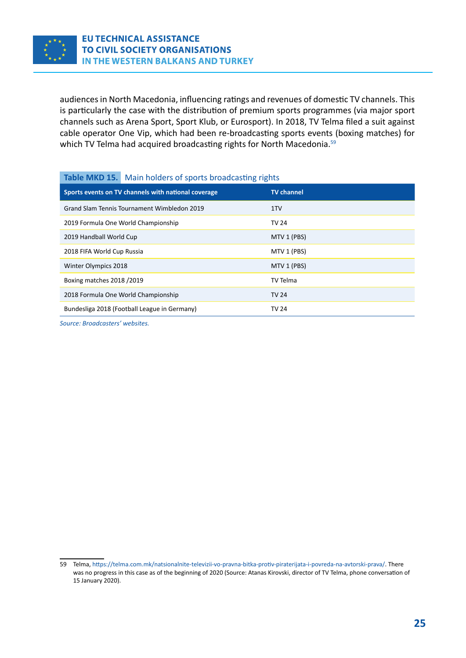<span id="page-24-0"></span>

audiences in North Macedonia, influencing ratings and revenues of domestic TV channels. This is particularly the case with the distribution of premium sports programmes (via major sport channels such as Arena Sport, Sport Klub, or Eurosport). In 2018, TV Telma filed a suit against cable operator One Vip, which had been re-broadcasting sports events (boxing matches) for which TV Telma had acquired broadcasting rights for North Macedonia.<sup>59</sup>

#### **Table MKD 15.** Main holders of sports broadcasting rights

| <b>TV</b> channel |
|-------------------|
| 1TV               |
| TV 24             |
| MTV 1 (PBS)       |
| MTV 1 (PBS)       |
| MTV 1 (PBS)       |
| TV Telma          |
| TV 24             |
| <b>TV 24</b>      |
|                   |

*Source: Broadcasters' websites.*

<sup>59</sup> Telma,<https://telma.com.mk/natsionalnite-televizii-vo-pravna-bitka-protiv-piraterijata-i-povreda-na-avtorski-prava/>. There was no progress in this case as of the beginning of 2020 (Source: Atanas Kirovski, director of TV Telma, phone conversation of 15 January 2020).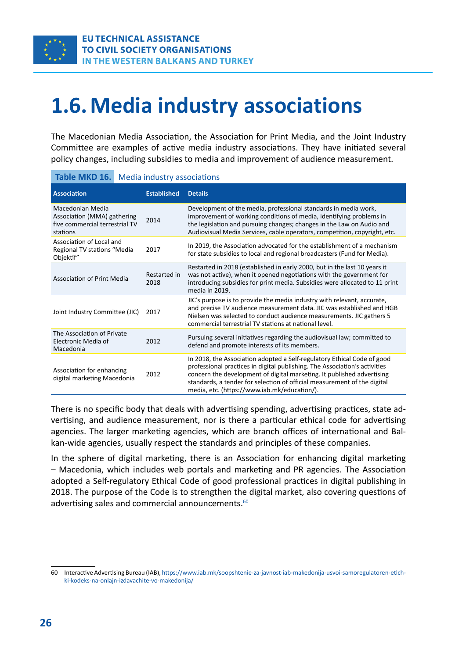<span id="page-25-0"></span>

# **1.6. Media industry associations**

The Macedonian Media Association, the Association for Print Media, and the Joint Industry Committee are examples of active media industry associations. They have initiated several policy changes, including subsidies to media and improvement of audience measurement.

| Table MKD 16.                                                                                         | Media industry associations |                    |                                                                                                                                                                                                                                                                                                                                                             |
|-------------------------------------------------------------------------------------------------------|-----------------------------|--------------------|-------------------------------------------------------------------------------------------------------------------------------------------------------------------------------------------------------------------------------------------------------------------------------------------------------------------------------------------------------------|
| <b>Association</b>                                                                                    |                             | <b>Established</b> | <b>Details</b>                                                                                                                                                                                                                                                                                                                                              |
| Macedonian Media<br>Association (MMA) gathering<br>2014<br>five commercial terrestrial TV<br>stations |                             |                    | Development of the media, professional standards in media work,<br>improvement of working conditions of media, identifying problems in<br>the legislation and pursuing changes; changes in the Law on Audio and<br>Audiovisual Media Services, cable operators, competition, copyright, etc.                                                                |
| Association of Local and<br>Regional TV stations "Media<br>Objektif"                                  |                             | 2017               | In 2019, the Association advocated for the establishment of a mechanism<br>for state subsidies to local and regional broadcasters (Fund for Media).                                                                                                                                                                                                         |
| <b>Association of Print Media</b><br>2018                                                             |                             | Restarted in       | Restarted in 2018 (established in early 2000, but in the last 10 years it<br>was not active), when it opened negotiations with the government for<br>introducing subsidies for print media. Subsidies were allocated to 11 print<br>media in 2019.                                                                                                          |
| Joint Industry Committee (JIC)                                                                        |                             | 2017               | JIC's purpose is to provide the media industry with relevant, accurate,<br>and precise TV audience measurement data. JIC was established and HGB<br>Nielsen was selected to conduct audience measurements. JIC gathers 5<br>commercial terrestrial TV stations at national level.                                                                           |
| The Association of Private<br>Electronic Media of<br>2012<br>Macedonia                                |                             |                    | Pursuing several initiatives regarding the audiovisual law; committed to<br>defend and promote interests of its members.                                                                                                                                                                                                                                    |
| Association for enhancing<br>digital marketing Macedonia                                              |                             | 2012               | In 2018, the Association adopted a Self-regulatory Ethical Code of good<br>professional practices in digital publishing. The Association's activities<br>concern the development of digital marketing. It published advertising<br>standards, a tender for selection of official measurement of the digital<br>media, etc. (https://www.iab.mk/education/). |

There is no specific body that deals with advertising spending, advertising practices, state advertising, and audience measurement, nor is there a particular ethical code for advertising agencies. The larger marketing agencies, which are branch offices of international and Balkan-wide agencies, usually respect the standards and principles of these companies.

In the sphere of digital marketing, there is an Association for enhancing digital marketing – Macedonia, which includes web portals and marketing and PR agencies. The Association adopted a Self-regulatory Ethical Code of good professional practices in digital publishing in 2018. The purpose of the Code is to strengthen the digital market, also covering questions of advertising sales and commercial announcements.<sup>60</sup>

<sup>60</sup> Interactive Advertising Bureau (IAB), [https://www.iab.mk/soopshtenie-za-javnost-iab-makedonija-usvoi-samoregulatoren-etich](https://www.iab.mk/soopshtenie-za-javnost-iab-makedonija-usvoi-samoregulatoren-etichki-kodeks-na-onlajn-izdavachite-vo-makedonija/)[ki-kodeks-na-onlajn-izdavachite-vo-makedonija/](https://www.iab.mk/soopshtenie-za-javnost-iab-makedonija-usvoi-samoregulatoren-etichki-kodeks-na-onlajn-izdavachite-vo-makedonija/)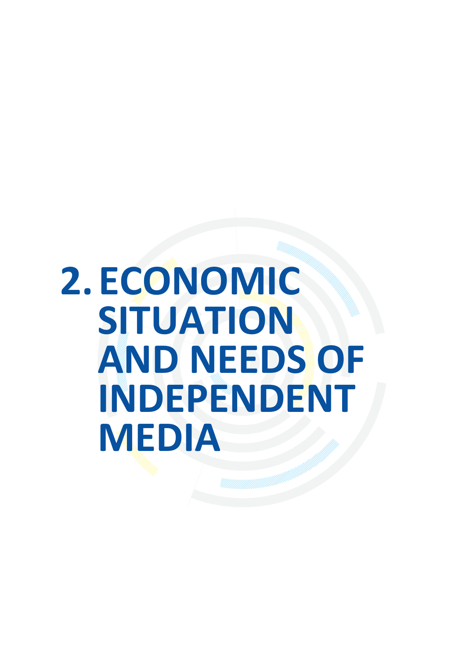# <span id="page-26-0"></span>**2. ECONOMIC SITUATION AND NEEDS OF INDEPENDENT MEDIA**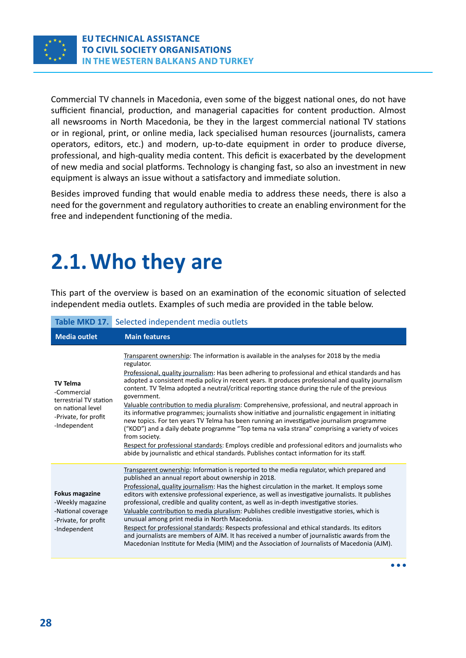<span id="page-27-0"></span>

Commercial TV channels in Macedonia, even some of the biggest national ones, do not have sufficient financial, production, and managerial capacities for content production. Almost all newsrooms in North Macedonia, be they in the largest commercial national TV stations or in regional, print, or online media, lack specialised human resources (journalists, camera operators, editors, etc.) and modern, up-to-date equipment in order to produce diverse, professional, and high-quality media content. This deficit is exacerbated by the development of new media and social platforms. Technology is changing fast, so also an investment in new equipment is always an issue without a satisfactory and immediate solution.

Besides improved funding that would enable media to address these needs, there is also a need for the government and regulatory authorities to create an enabling environment for the free and independent functioning of the media.

### **2.1. Who they are**

This part of the overview is based on an examination of the economic situation of selected independent media outlets. Examples of such media are provided in the table below.

#### **Table MKD 17.** Selected independent media outlets

| <b>Media outlet</b>                                                                                                   | <b>Main features</b>                                                                                                                                                                                                                                                                                                                                                                                                                                                                                                                                                                                                                                                                                                                                                                                                                                                                                                                                                                                                                                       |
|-----------------------------------------------------------------------------------------------------------------------|------------------------------------------------------------------------------------------------------------------------------------------------------------------------------------------------------------------------------------------------------------------------------------------------------------------------------------------------------------------------------------------------------------------------------------------------------------------------------------------------------------------------------------------------------------------------------------------------------------------------------------------------------------------------------------------------------------------------------------------------------------------------------------------------------------------------------------------------------------------------------------------------------------------------------------------------------------------------------------------------------------------------------------------------------------|
| <b>TV Telma</b><br>-Commercial<br>terrestrial TV station<br>on national level<br>-Private, for profit<br>-Independent | Transparent ownership: The information is available in the analyses for 2018 by the media<br>regulator.<br>Professional, quality journalism: Has been adhering to professional and ethical standards and has<br>adopted a consistent media policy in recent years. It produces professional and quality journalism<br>content. TV Telma adopted a neutral/critical reporting stance during the rule of the previous<br>government.<br>Valuable contribution to media pluralism: Comprehensive, professional, and neutral approach in<br>its informative programmes; journalists show initiative and journalistic engagement in initiating<br>new topics. For ten years TV Telma has been running an investigative journalism programme<br>("KOD") and a daily debate programme "Top tema na vaša strana" comprising a variety of voices<br>from society.<br>Respect for professional standards: Employs credible and professional editors and journalists who<br>abide by journalistic and ethical standards. Publishes contact information for its staff. |
| <b>Fokus magazine</b><br>-Weekly magazine<br>-National coverage<br>-Private, for profit<br>-Independent               | Transparent ownership: Information is reported to the media regulator, which prepared and<br>published an annual report about ownership in 2018.<br>Professional, quality journalism: Has the highest circulation in the market. It employs some<br>editors with extensive professional experience, as well as investigative journalists. It publishes<br>professional, credible and quality content, as well as in-depth investigative stories.<br>Valuable contribution to media pluralism: Publishes credible investigative stories, which is<br>unusual among print media in North Macedonia.<br>Respect for professional standards: Respects professional and ethical standards. Its editors<br>and journalists are members of AJM. It has received a number of journalistic awards from the<br>Macedonian Institute for Media (MIM) and the Association of Journalists of Macedonia (AJM).                                                                                                                                                           |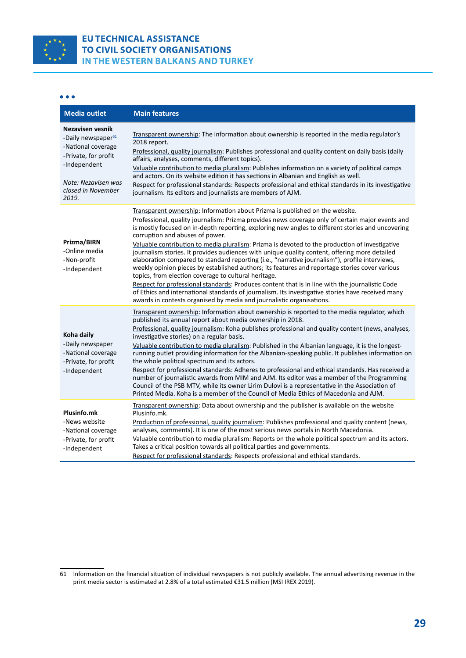

#### **EU TECHNICAL ASSISTANCE** TO CIVIL SOCIETY ORGANISATIONS IN THE WESTERN BALKANS AND TURKEY

#### $\bullet\bullet\bullet$

| <b>Media outlet</b>                                                                                                                                                    | <b>Main features</b>                                                                                                                                                                                                                                                                                                                                                                                                                                                                                                                                                                                                                                                                                                                                                                                                                                                                                                                                                                                                                                                     |
|------------------------------------------------------------------------------------------------------------------------------------------------------------------------|--------------------------------------------------------------------------------------------------------------------------------------------------------------------------------------------------------------------------------------------------------------------------------------------------------------------------------------------------------------------------------------------------------------------------------------------------------------------------------------------------------------------------------------------------------------------------------------------------------------------------------------------------------------------------------------------------------------------------------------------------------------------------------------------------------------------------------------------------------------------------------------------------------------------------------------------------------------------------------------------------------------------------------------------------------------------------|
| Nezavisen vesnik<br>-Daily newspaper <sup>61</sup><br>-National coverage<br>-Private, for profit<br>-Independent<br>Note: Nezavisen was<br>closed in November<br>2019. | Transparent ownership: The information about ownership is reported in the media regulator's<br>2018 report.<br>Professional, quality journalism: Publishes professional and quality content on daily basis (daily<br>affairs, analyses, comments, different topics).<br>Valuable contribution to media pluralism: Publishes information on a variety of political camps<br>and actors. On its website edition it has sections in Albanian and English as well.<br>Respect for professional standards: Respects professional and ethical standards in its investigative<br>journalism. Its editors and journalists are members of AJM.                                                                                                                                                                                                                                                                                                                                                                                                                                    |
| Prizma/BIRN<br>-Online media<br>-Non-profit<br>-Independent                                                                                                            | Transparent ownership: Information about Prizma is published on the website.<br>Professional, quality journalism: Prizma provides news coverage only of certain major events and<br>is mostly focused on in-depth reporting, exploring new angles to different stories and uncovering<br>corruption and abuses of power.<br>Valuable contribution to media pluralism: Prizma is devoted to the production of investigative<br>journalism stories. It provides audiences with unique quality content, offering more detailed<br>elaboration compared to standard reporting (i.e., "narrative journalism"), profile interviews,<br>weekly opinion pieces by established authors; its features and reportage stories cover various<br>topics, from election coverage to cultural heritage.<br>Respect for professional standards: Produces content that is in line with the journalistic Code<br>of Ethics and international standards of journalism. Its investigative stories have received many<br>awards in contests organised by media and journalistic organisations. |
| Koha daily<br>-Daily newspaper<br>-National coverage<br>-Private, for profit<br>-Independent                                                                           | Transparent ownership: Information about ownership is reported to the media regulator, which<br>published its annual report about media ownership in 2018.<br>Professional, quality journalism: Koha publishes professional and quality content (news, analyses,<br>investigative stories) on a regular basis.<br>Valuable contribution to media pluralism: Published in the Albanian language, it is the longest-<br>running outlet providing information for the Albanian-speaking public. It publishes information on<br>the whole political spectrum and its actors.<br>Respect for professional standards: Adheres to professional and ethical standards. Has received a<br>number of journalistic awards from MIM and AJM. Its editor was a member of the Programming<br>Council of the PSB MTV, while its owner Lirim Dulovi is a representative in the Association of<br>Printed Media. Koha is a member of the Council of Media Ethics of Macedonia and AJM.                                                                                                    |
| Plusinfo.mk<br>-News website<br>-National coverage<br>-Private, for profit<br>-Independent                                                                             | Transparent ownership: Data about ownership and the publisher is available on the website<br>Plusinfo.mk.<br>Production of professional, quality journalism: Publishes professional and quality content (news,<br>analyses, comments). It is one of the most serious news portals in North Macedonia.<br>Valuable contribution to media pluralism: Reports on the whole political spectrum and its actors.<br>Takes a critical position towards all political parties and governments.<br>Respect for professional standards: Respects professional and ethical standards.                                                                                                                                                                                                                                                                                                                                                                                                                                                                                               |

<sup>61</sup> Information on the financial situation of individual newspapers is not publicly available. The annual advertising revenue in the print media sector is estimated at 2.8% of a total estimated €31.5 million (MSI IREX 2019).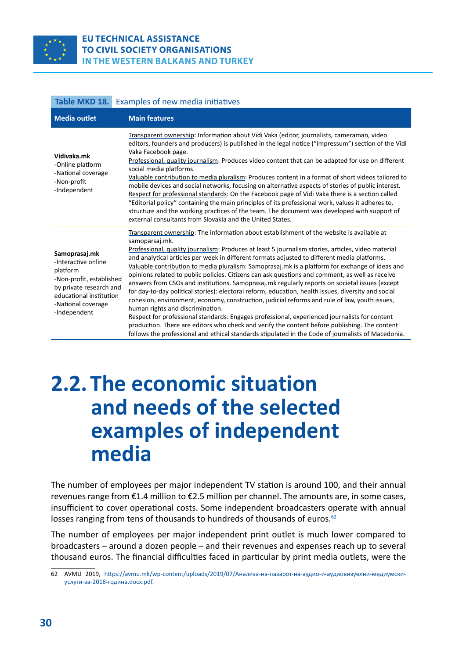<span id="page-29-0"></span>

#### **EU TECHNICAL ASSISTANCE TO CIVIL SOCIETY ORGANISATIONS** IN THE WESTERN BALKANS AND TURKEY

| Table MKD 18.                                                                                                                                                            | Examples of new media initiatives                                                                                                                                                                                                                                                                                                                                                                                                                                                                                                                                                                                                                                                                                                                                                                                                                                                                                                                                                                                                                                                                                                                                             |  |
|--------------------------------------------------------------------------------------------------------------------------------------------------------------------------|-------------------------------------------------------------------------------------------------------------------------------------------------------------------------------------------------------------------------------------------------------------------------------------------------------------------------------------------------------------------------------------------------------------------------------------------------------------------------------------------------------------------------------------------------------------------------------------------------------------------------------------------------------------------------------------------------------------------------------------------------------------------------------------------------------------------------------------------------------------------------------------------------------------------------------------------------------------------------------------------------------------------------------------------------------------------------------------------------------------------------------------------------------------------------------|--|
| <b>Media outlet</b>                                                                                                                                                      | <b>Main features</b>                                                                                                                                                                                                                                                                                                                                                                                                                                                                                                                                                                                                                                                                                                                                                                                                                                                                                                                                                                                                                                                                                                                                                          |  |
| Vidivaka.mk<br>-Online platform<br>-National coverage<br>-Non-profit<br>-Independent                                                                                     | Transparent ownership: Information about Vidi Vaka (editor, journalists, cameraman, video<br>editors, founders and producers) is published in the legal notice ("impressum") section of the Vidi<br>Vaka Facebook page.<br>Professional, quality journalism: Produces video content that can be adapted for use on different<br>social media platforms.<br>Valuable contribution to media pluralism: Produces content in a format of short videos tailored to<br>mobile devices and social networks, focusing on alternative aspects of stories of public interest.<br>Respect for professional standards: On the Facebook page of Vidi Vaka there is a section called<br>"Editorial policy" containing the main principles of its professional work, values it adheres to,<br>structure and the working practices of the team. The document was developed with support of<br>external consultants from Slovakia and the United States.                                                                                                                                                                                                                                       |  |
| Samoprasaj.mk<br>-Interactive online<br>platform<br>-Non-profit, established<br>by private research and<br>educational institution<br>-National coverage<br>-Independent | Transparent ownership: The information about establishment of the website is available at<br>samoparsaj.mk.<br>Professional, quality journalism: Produces at least 5 journalism stories, articles, video material<br>and analytical articles per week in different formats adjusted to different media platforms.<br>Valuable contribution to media pluralism: Samoprasaj.mk is a platform for exchange of ideas and<br>opinions related to public policies. Citizens can ask questions and comment, as well as receive<br>answers from CSOs and institutions. Samoprasaj.mk regularly reports on societal issues (except<br>for day-to-day political stories): electoral reform, education, health issues, diversity and social<br>cohesion, environment, economy, construction, judicial reforms and rule of law, youth issues,<br>human rights and discrimination.<br>Respect for professional standards: Engages professional, experienced journalists for content<br>production. There are editors who check and verify the content before publishing. The content<br>follows the professional and ethical standards stipulated in the Code of journalists of Macedonia. |  |

### **2.2. The economic situation and needs of the selected examples of independent media**

The number of employees per major independent TV station is around 100, and their annual revenues range from €1.4 million to €2.5 million per channel. The amounts are, in some cases, insufficient to cover operational costs. Some independent broadcasters operate with annual losses ranging from tens of thousands to hundreds of thousands of euros.<sup>62</sup>

The number of employees per major independent print outlet is much lower compared to broadcasters – around a dozen people – and their revenues and expenses reach up to several thousand euros. The financial difficulties faced in particular by print media outlets, were the

<sup>62</sup> AVMU 2019, [https://avmu.mk/wp-content/uploads/2019/07/Анализа-на-пазарот-на-аудио-и-аудиовизуелни-медиумски](https://avmu.mk/wp-content/uploads/2019/07/%D0%90%D0%BD%D0%B0%D0%BB%D0%B8%D0%B7%D0%B0-%D0%BD%D0%B0-%D0%BF%D0%B0%D0%B7%D0%B0%D1%80%D0%BE%D1%82-%D0%BD%D0%B0-%D0%B0%D1%83%D0%B4%D0%B8%D0%BE-%D0%B8-%D0%B0%D1%83%D0%B4%D0%B8%D0%BE%D0%B2%D0%B8%D0%B7%D1%83%D0%B5%D0%BB%D0%BD%D0%B8-%D0%BC%D0%B5%D0%B4%D0%B8%D1%83%D0%BC%D1%81%D0%BA%D0%B8-%D1%83%D1%81%D0%BB%D1%83%D0%B3%D0%B8-%D0%B7%D0%B0-2018-%D0%B3%D0%BE%D0%B4%D0%B8%D0%BD%D0%B0.docx.pdf)[услуги-за-2018-година.docx.pdf](https://avmu.mk/wp-content/uploads/2019/07/%D0%90%D0%BD%D0%B0%D0%BB%D0%B8%D0%B7%D0%B0-%D0%BD%D0%B0-%D0%BF%D0%B0%D0%B7%D0%B0%D1%80%D0%BE%D1%82-%D0%BD%D0%B0-%D0%B0%D1%83%D0%B4%D0%B8%D0%BE-%D0%B8-%D0%B0%D1%83%D0%B4%D0%B8%D0%BE%D0%B2%D0%B8%D0%B7%D1%83%D0%B5%D0%BB%D0%BD%D0%B8-%D0%BC%D0%B5%D0%B4%D0%B8%D1%83%D0%BC%D1%81%D0%BA%D0%B8-%D1%83%D1%81%D0%BB%D1%83%D0%B3%D0%B8-%D0%B7%D0%B0-2018-%D0%B3%D0%BE%D0%B4%D0%B8%D0%BD%D0%B0.docx.pdf).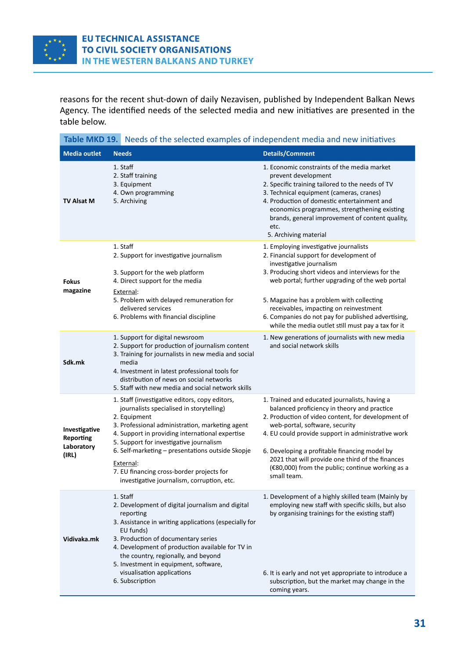<span id="page-30-0"></span>

reasons for the recent shut-down of daily Nezavisen, published by Independent Balkan News Agency. The identified needs of the selected media and new initiatives are presented in the table below.

| Table MKD 19. Needs of the selected examples of independent media and new initiatives |                                                                                                                                                                                                                                                                                                                                                                                                                         |                                                                                                                                                                                                                                                                                                                                                                                                                         |  |  |
|---------------------------------------------------------------------------------------|-------------------------------------------------------------------------------------------------------------------------------------------------------------------------------------------------------------------------------------------------------------------------------------------------------------------------------------------------------------------------------------------------------------------------|-------------------------------------------------------------------------------------------------------------------------------------------------------------------------------------------------------------------------------------------------------------------------------------------------------------------------------------------------------------------------------------------------------------------------|--|--|
| <b>Media outlet</b><br><b>Needs</b>                                                   |                                                                                                                                                                                                                                                                                                                                                                                                                         | <b>Details/Comment</b>                                                                                                                                                                                                                                                                                                                                                                                                  |  |  |
| <b>TV Alsat M</b>                                                                     | 1. Staff<br>2. Staff training<br>3. Equipment<br>4. Own programming<br>5. Archiving                                                                                                                                                                                                                                                                                                                                     | 1. Economic constraints of the media market<br>prevent development<br>2. Specific training tailored to the needs of TV<br>3. Technical equipment (cameras, cranes)<br>4. Production of domestic entertainment and<br>economics programmes, strengthening existing<br>brands, general improvement of content quality,<br>etc.<br>5. Archiving material                                                                   |  |  |
| <b>Fokus</b><br>magazine                                                              | 1. Staff<br>2. Support for investigative journalism<br>3. Support for the web platform<br>4. Direct support for the media<br>External:<br>5. Problem with delayed remuneration for<br>delivered services<br>6. Problems with financial discipline                                                                                                                                                                       | 1. Employing investigative journalists<br>2. Financial support for development of<br>investigative journalism<br>3. Producing short videos and interviews for the<br>web portal; further upgrading of the web portal<br>5. Magazine has a problem with collecting<br>receivables, impacting on reinvestment<br>6. Companies do not pay for published advertising,<br>while the media outlet still must pay a tax for it |  |  |
| Sdk.mk                                                                                | 1. Support for digital newsroom<br>2. Support for production of journalism content<br>3. Training for journalists in new media and social<br>media<br>4. Investment in latest professional tools for<br>distribution of news on social networks<br>5. Staff with new media and social network skills                                                                                                                    | 1. New generations of journalists with new media<br>and social network skills                                                                                                                                                                                                                                                                                                                                           |  |  |
| Investigative<br>Reporting<br>Laboratory<br>(IRL)                                     | 1. Staff (investigative editors, copy editors,<br>journalists specialised in storytelling)<br>2. Equipment<br>3. Professional administration, marketing agent<br>4. Support in providing international expertise<br>5. Support for investigative journalism<br>6. Self-marketing - presentations outside Skopje<br>External:<br>7. EU financing cross-border projects for<br>investigative journalism, corruption, etc. | 1. Trained and educated journalists, having a<br>balanced proficiency in theory and practice<br>2. Production of video content, for development of<br>web-portal, software, security<br>4. EU could provide support in administrative work<br>6. Developing a profitable financing model by<br>2021 that will provide one third of the finances<br>(€80,000) from the public; continue working as a<br>small team.      |  |  |
| Vidivaka.mk                                                                           | 1. Staff<br>2. Development of digital journalism and digital<br>reporting<br>3. Assistance in writing applications (especially for<br>EU funds)<br>3. Production of documentary series<br>4. Development of production available for TV in<br>the country, regionally, and beyond<br>5. Investment in equipment, software,<br>visualisation applications<br>6. Subscription                                             | 1. Development of a highly skilled team (Mainly by<br>employing new staff with specific skills, but also<br>by organising trainings for the existing staff)<br>6. It is early and not yet appropriate to introduce a<br>subscription, but the market may change in the<br>coming years.                                                                                                                                 |  |  |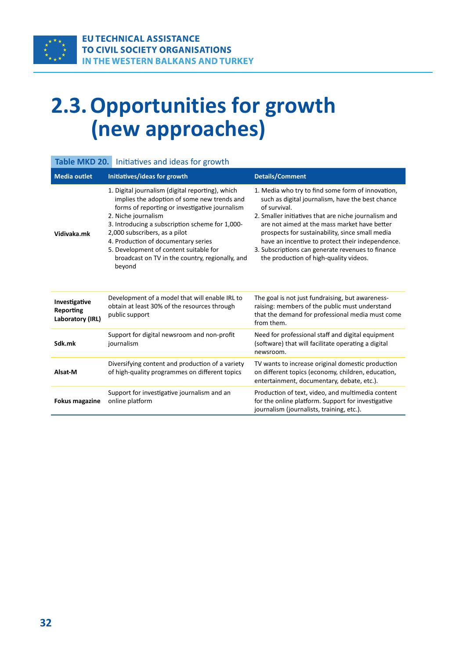# <span id="page-31-0"></span>**2.3. Opportunities for growth (new approaches)**

| Table MKD 20.                                         | Initiatives and ideas for growth                                                                                                                                                                                                                                                                                                                                                                           |                                                                                                                                                                                                                                                                                                                                                                                                                                     |  |
|-------------------------------------------------------|------------------------------------------------------------------------------------------------------------------------------------------------------------------------------------------------------------------------------------------------------------------------------------------------------------------------------------------------------------------------------------------------------------|-------------------------------------------------------------------------------------------------------------------------------------------------------------------------------------------------------------------------------------------------------------------------------------------------------------------------------------------------------------------------------------------------------------------------------------|--|
| <b>Media outlet</b>                                   | Initiatives/ideas for growth                                                                                                                                                                                                                                                                                                                                                                               | <b>Details/Comment</b>                                                                                                                                                                                                                                                                                                                                                                                                              |  |
| Vidivaka.mk                                           | 1. Digital journalism (digital reporting), which<br>implies the adoption of some new trends and<br>forms of reporting or investigative journalism<br>2. Niche journalism<br>3. Introducing a subscription scheme for 1,000-<br>2,000 subscribers, as a pilot<br>4. Production of documentary series<br>5. Development of content suitable for<br>broadcast on TV in the country, regionally, and<br>beyond | 1. Media who try to find some form of innovation,<br>such as digital journalism, have the best chance<br>of survival.<br>2. Smaller initiatives that are niche journalism and<br>are not aimed at the mass market have better<br>prospects for sustainability, since small media<br>have an incentive to protect their independence.<br>3. Subscriptions can generate revenues to finance<br>the production of high-quality videos. |  |
| Investigative<br><b>Reporting</b><br>Laboratory (IRL) | Development of a model that will enable IRL to<br>obtain at least 30% of the resources through<br>public support                                                                                                                                                                                                                                                                                           | The goal is not just fundraising, but awareness-<br>raising: members of the public must understand<br>that the demand for professional media must come<br>from them.                                                                                                                                                                                                                                                                |  |
| Sdk.mk                                                | Support for digital newsroom and non-profit<br>journalism                                                                                                                                                                                                                                                                                                                                                  | Need for professional staff and digital equipment<br>(software) that will facilitate operating a digital<br>newsroom.                                                                                                                                                                                                                                                                                                               |  |
| Alsat-M                                               | Diversifying content and production of a variety<br>of high-quality programmes on different topics                                                                                                                                                                                                                                                                                                         | TV wants to increase original domestic production<br>on different topics (economy, children, education,<br>entertainment, documentary, debate, etc.).                                                                                                                                                                                                                                                                               |  |
| <b>Fokus magazine</b>                                 | Support for investigative journalism and an<br>online platform                                                                                                                                                                                                                                                                                                                                             | Production of text, video, and multimedia content<br>for the online platform. Support for investigative<br>journalism (journalists, training, etc.).                                                                                                                                                                                                                                                                                |  |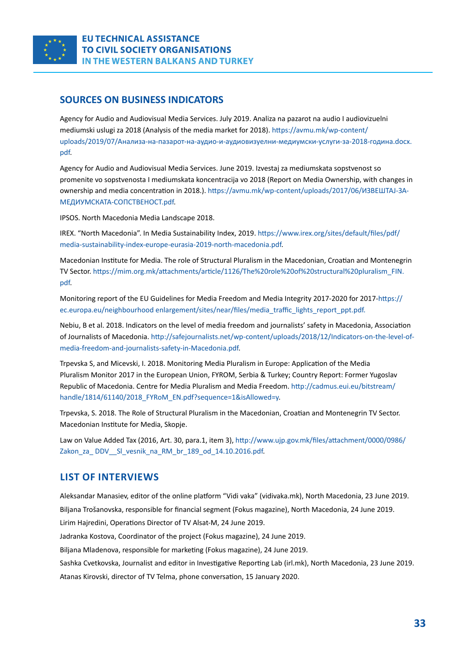

#### **SOURCES ON BUSINESS INDICATORS**

Agency for Audio and Audiovisual Media Services. July 2019. Analiza na pazarot na audio I audiovizuelni mediumski uslugi za 2018 (Analysis of the media market for 2018). [https://avmu.mk/wp-content/](https://avmu.mk/wp-content/uploads/2019/07/%D0%90%D0%BD%D0%B0%D0%BB%D0%B8%D0%B7%D0%B0-%D0%BD%D0%B0-%D0%BF%D0%B0%D0%B7%D0%B0%D1%80%D0%BE%D1%82-%D0%BD%D0%B0-%D0%B0%D1%83%D0%B4%D0%B8%D0%BE-%D0%B8-%D0%B0%D1%83%D0%B4%D0%B8%D0%BE%D0%B2%D0%B8%D0%B7%D1%83%D0%B5%D0%BB%D0%BD%D0%B8-%D0%BC%D0%B5%D0%B4%D0%B8%D1%83%D0%BC%D1%81%D0%BA%D0%B8-%D1%83%D1%81%D0%BB%D1%83%D0%B3%D0%B8-%D0%B7%D0%B0-2018-%D0%B3%D0%BE%D0%B4%D0%B8%D0%BD%D0%B0.docx.pdf) [uploads/2019/07/Анализа-на-пазарот-на-аудио-и-аудиовизуелни-медиумски-услуги-за-2018-година.docx.](https://avmu.mk/wp-content/uploads/2019/07/%D0%90%D0%BD%D0%B0%D0%BB%D0%B8%D0%B7%D0%B0-%D0%BD%D0%B0-%D0%BF%D0%B0%D0%B7%D0%B0%D1%80%D0%BE%D1%82-%D0%BD%D0%B0-%D0%B0%D1%83%D0%B4%D0%B8%D0%BE-%D0%B8-%D0%B0%D1%83%D0%B4%D0%B8%D0%BE%D0%B2%D0%B8%D0%B7%D1%83%D0%B5%D0%BB%D0%BD%D0%B8-%D0%BC%D0%B5%D0%B4%D0%B8%D1%83%D0%BC%D1%81%D0%BA%D0%B8-%D1%83%D1%81%D0%BB%D1%83%D0%B3%D0%B8-%D0%B7%D0%B0-2018-%D0%B3%D0%BE%D0%B4%D0%B8%D0%BD%D0%B0.docx.pdf) [pdf](https://avmu.mk/wp-content/uploads/2019/07/%D0%90%D0%BD%D0%B0%D0%BB%D0%B8%D0%B7%D0%B0-%D0%BD%D0%B0-%D0%BF%D0%B0%D0%B7%D0%B0%D1%80%D0%BE%D1%82-%D0%BD%D0%B0-%D0%B0%D1%83%D0%B4%D0%B8%D0%BE-%D0%B8-%D0%B0%D1%83%D0%B4%D0%B8%D0%BE%D0%B2%D0%B8%D0%B7%D1%83%D0%B5%D0%BB%D0%BD%D0%B8-%D0%BC%D0%B5%D0%B4%D0%B8%D1%83%D0%BC%D1%81%D0%BA%D0%B8-%D1%83%D1%81%D0%BB%D1%83%D0%B3%D0%B8-%D0%B7%D0%B0-2018-%D0%B3%D0%BE%D0%B4%D0%B8%D0%BD%D0%B0.docx.pdf).

Agency for Audio and Audiovisual Media Services. June 2019. Izvestaj za mediumskata sopstvenost so promenite vo sopstvenosta I mediumskata koncentracija vo 2018 (Report on Media Ownership, with changes in ownership and media concentration in 2018.). [https://avmu.mk/wp-content/uploads/2017/06/ИЗВЕШТАЈ-ЗА-](https://avmu.mk/wp-content/uploads/2017/06/%D0%98%D0%97%D0%92%D0%95%D0%A8%D0%A2%D0%90%D0%88-%D0%97%D0%90-%D0%9C%D0%95%D0%94%D0%98%D0%A3%D0%9C%D0%A1%D0%9A%D0%90%D0%A2%D0%90-%D0%A1%D0%9E%D0%9F%D0%A1%D0%A2%D0%92%D0%95%D0%9D%D0%9E%D0%A1%D0%A2.pdf)[МЕДИУМСКАТА-СОПСТВЕНОСТ.pdf](https://avmu.mk/wp-content/uploads/2017/06/%D0%98%D0%97%D0%92%D0%95%D0%A8%D0%A2%D0%90%D0%88-%D0%97%D0%90-%D0%9C%D0%95%D0%94%D0%98%D0%A3%D0%9C%D0%A1%D0%9A%D0%90%D0%A2%D0%90-%D0%A1%D0%9E%D0%9F%D0%A1%D0%A2%D0%92%D0%95%D0%9D%D0%9E%D0%A1%D0%A2.pdf).

IPSOS. North Macedonia Media Landscape 2018.

IREX. "North Macedonia". In Media Sustainability Index, 2019. [https://www.irex.org/sites/default/files/pdf/](https://www.irex.org/sites/default/files/pdf/media-sustainability-index-europe-eurasia-2019-north-macedonia.pdf) [media-sustainability-index-europe-eurasia-2019-north-macedonia.pdf](https://www.irex.org/sites/default/files/pdf/media-sustainability-index-europe-eurasia-2019-north-macedonia.pdf).

[Macedonian Institute for Media. The role of Structural Pluralism in the Macedonian, Croatian and Montenegrin](about:blank)  [TV Sector.](about:blank) [https://mim.org.mk/attachments/article/1126/The%20role%20of%20structural%20pluralism\\_FIN.](https://mim.org.mk/attachments/article/1126/The role of structural pluralism_FIN.pdf) [pdf](https://mim.org.mk/attachments/article/1126/The role of structural pluralism_FIN.pdf).

Monitoring report of the EU Guidelines for Media Freedom and Media Integrity 2017-2020 for 2017[-https://](https://ec.europa.eu/neighbourhood enlargement/sites/near/files/media_traffic_lights_report_ppt.pdf) [ec.europa.eu/neighbourhood enlargement/sites/near/files/media\\_traffic\\_lights\\_report\\_ppt.pdf.](https://ec.europa.eu/neighbourhood enlargement/sites/near/files/media_traffic_lights_report_ppt.pdf)

Nebiu, B et al. 2018. Indicators on the level of media freedom and journalists' safety in Macedonia, Association of Journalists of Macedonia. [http://safejournalists.net/wp-content/uploads/2018/12/Indicators-on-the-level-of](http://safejournalists.net/wp-content/uploads/2018/12/Indicators-on-the-level-of-media-freedom-and-journalists-safety-in-Macedonia.pdf)[media-freedom-and-journalists-safety-in-Macedonia.pdf](http://safejournalists.net/wp-content/uploads/2018/12/Indicators-on-the-level-of-media-freedom-and-journalists-safety-in-Macedonia.pdf).

Trpevska S, and Micevski, I. 2018. Monitoring Media Pluralism in Europe: Application of the Media Pluralism Monitor 2017 in the European Union, FYROM, Serbia & Turkey; Country Report: Former Yugoslav Republic of Macedonia. Centre for Media Pluralism and Media Freedom. [http://cadmus.eui.eu/bitstream/](http://cadmus.eui.eu/bitstream/handle/1814/61140/2018_FYRoM_EN.pdf?sequence=1&isAllowed=y) [handle/1814/61140/2018\\_FYRoM\\_EN.pdf?sequence=1&isAllowed=y](http://cadmus.eui.eu/bitstream/handle/1814/61140/2018_FYRoM_EN.pdf?sequence=1&isAllowed=y).

Trpevska, S. 2018. The Role of Structural Pluralism in the Macedonian, Croatian and Montenegrin TV Sector. Macedonian Institute for Media, Skopje.

Law on Value Added Tax (2016, Art. 30, para.1, item 3), [http://www.ujp.gov.mk/files/attachment/0000/0986/](http://www.ujp.gov.mk/files/attachment/0000/0986/Zakon_za_ DDV__Sl_vesnik_na_RM_br_189_od_14.10.2016.pdf) Zakon za DDV SI vesnik na RM br 189 od 14.10.2016.pdf.

#### **LIST OF INTERVIEWS**

Aleksandar Manasiev, editor of the online platform "Vidi vaka" (vidivaka.mk), North Macedonia, 23 June 2019. Biljana Trošanovska, responsible for financial segment (Fokus magazine), North Macedonia, 24 June 2019.

Lirim Hajredini, Operations Director of TV Alsat-M, 24 June 2019. Jadranka Kostova, Coordinator of the project (Fokus magazine), 24 June 2019.

Biljana Mladenova, responsible for marketing (Fokus magazine), 24 June 2019.

Sashka Cvetkovska, Journalist and editor in Investigative Reporting Lab (irl.mk), North Macedonia, 23 June 2019. Atanas Kirovski, director of TV Telma, phone conversation, 15 January 2020.